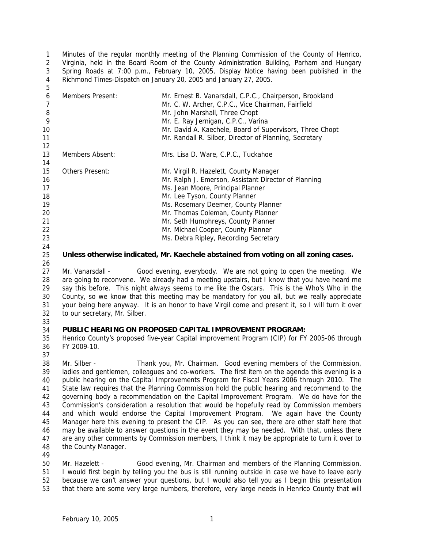1  $\mathfrak{D}$ 3 4 Minutes of the regular monthly meeting of the Planning Commission of the County of Henrico, Virginia, held in the Board Room of the County Administration Building, Parham and Hungary Spring Roads at 7:00 p.m., February 10, 2005, Display Notice having been published in the Richmond Times-Dispatch on January 20, 2005 and January 27, 2005.

| 6<br>-8 | <b>Members Present:</b> | Mr. Ernest B. Vanarsdall, C.P.C., Chairperson, Brookland<br>Mr. C. W. Archer, C.P.C., Vice Chairman, Fairfield<br>Mr. John Marshall, Three Chopt |
|---------|-------------------------|--------------------------------------------------------------------------------------------------------------------------------------------------|
| 9       |                         | Mr. E. Ray Jernigan, C.P.C., Varina                                                                                                              |
| 10      |                         | Mr. David A. Kaechele, Board of Supervisors, Three Chopt                                                                                         |
| 11      |                         | Mr. Randall R. Silber, Director of Planning, Secretary                                                                                           |
| 12      |                         |                                                                                                                                                  |
| 13      | Members Absent:         | Mrs. Lisa D. Ware, C.P.C., Tuckahoe                                                                                                              |
| 14      |                         |                                                                                                                                                  |
| 15      | Others Present:         | Mr. Virgil R. Hazelett, County Manager                                                                                                           |
| 16      |                         | Mr. Ralph J. Emerson, Assistant Director of Planning                                                                                             |
| 17      |                         | Ms. Jean Moore, Principal Planner                                                                                                                |
| 18      |                         | Mr. Lee Tyson, County Planner                                                                                                                    |
| 19      |                         | Ms. Rosemary Deemer, County Planner                                                                                                              |
| 20      |                         | Mr. Thomas Coleman, County Planner                                                                                                               |
| 21      |                         | Mr. Seth Humphreys, County Planner                                                                                                               |
| 22      |                         | Mr. Michael Cooper, County Planner                                                                                                               |
| 23      |                         | Ms. Debra Ripley, Recording Secretary                                                                                                            |

24 25

26

5

**Unless otherwise indicated, Mr. Kaechele abstained from voting on all zoning cases.** 

27 28 29 30 31 32 Mr. Vanarsdall - Good evening, everybody. We are not going to open the meeting. We are going to reconvene. We already had a meeting upstairs, but I know that you have heard me say this before. This night always seems to me like the Oscars. This is the Who's Who in the County, so we know that this meeting may be mandatory for you all, but we really appreciate your being here anyway. It is an honor to have Virgil come and present it, so I will turn it over to our secretary, Mr. Silber.

33

#### 34 **PUBLIC HEARING ON PROPOSED CAPITAL IMPROVEMENT PROGRAM:**

35 36 Henrico County's proposed five-year Capital improvement Program (CIP) for FY 2005-06 through FY 2009-10.

37

38 39 40 41 42 43 44 45 46 47 48 Mr. Silber - Thank you, Mr. Chairman. Good evening members of the Commission, ladies and gentlemen, colleagues and co-workers. The first item on the agenda this evening is a public hearing on the Capital Improvements Program for Fiscal Years 2006 through 2010. The State law requires that the Planning Commission hold the public hearing and recommend to the governing body a recommendation on the Capital Improvement Program. We do have for the Commission's consideration a resolution that would be hopefully read by Commission members and which would endorse the Capital Improvement Program. We again have the County Manager here this evening to present the CIP. As you can see, there are other staff here that may be available to answer questions in the event they may be needed. With that, unless there are any other comments by Commission members, I think it may be appropriate to turn it over to the County Manager.

49

50 Mr. Hazelett - Good evening, Mr. Chairman and members of the Planning Commission.

- 51 I would first begin by telling you the bus is still running outside in case we have to leave early
- 52 53 because we can't answer your questions, but I would also tell you as I begin this presentation that there are some very large numbers, therefore, very large needs in Henrico County that will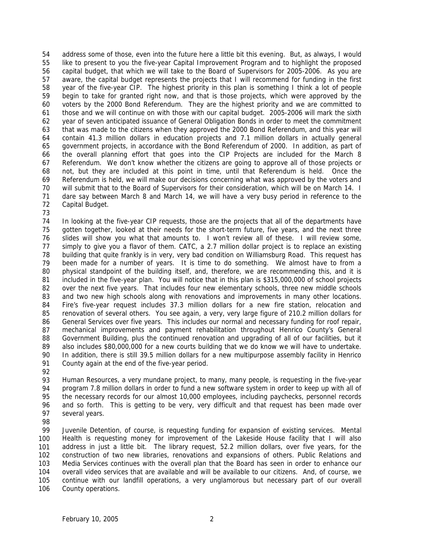54 55 56 57 58 59 60 61 62 63 64 65 66 67 68 69 70 71 72 73 address some of those, even into the future here a little bit this evening. But, as always, I would like to present to you the five-year Capital Improvement Program and to highlight the proposed capital budget, that which we will take to the Board of Supervisors for 2005-2006. As you are aware, the capital budget represents the projects that I will recommend for funding in the first year of the five-year CIP. The highest priority in this plan is something I think a lot of people begin to take for granted right now, and that is those projects, which were approved by the voters by the 2000 Bond Referendum. They are the highest priority and we are committed to those and we will continue on with those with our capital budget. 2005-2006 will mark the sixth year of seven anticipated issuance of General Obligation Bonds in order to meet the commitment that was made to the citizens when they approved the 2000 Bond Referendum, and this year will contain 41.3 million dollars in education projects and 7.1 million dollars in actually general government projects, in accordance with the Bond Referendum of 2000. In addition, as part of the overall planning effort that goes into the CIP Projects are included for the March 8 Referendum. We don't know whether the citizens are going to approve all of those projects or not, but they are included at this point in time, until that Referendum is held. Once the Referendum is held, we will make our decisions concerning what was approved by the voters and will submit that to the Board of Supervisors for their consideration, which will be on March 14. I dare say between March 8 and March 14, we will have a very busy period in reference to the Capital Budget.

74 75 76 77 78 79 80 81 82 83 84 85 86 87 88 89 90 91 In looking at the five-year CIP requests, those are the projects that all of the departments have gotten together, looked at their needs for the short-term future, five years, and the next three slides will show you what that amounts to. I won't review all of these. I will review some, simply to give you a flavor of them. CATC, a 2.7 million dollar project is to replace an existing building that quite frankly is in very, very bad condition on Williamsburg Road. This request has been made for a number of years. It is time to do something. We almost have to from a physical standpoint of the building itself, and, therefore, we are recommending this, and it is included in the five-year plan. You will notice that in this plan is \$315,000,000 of school projects over the next five years. That includes four new elementary schools, three new middle schools and two new high schools along with renovations and improvements in many other locations. Fire's five-year request includes 37.3 million dollars for a new fire station, relocation and renovation of several others. You see again, a very, very large figure of 210.2 million dollars for General Services over five years. This includes our normal and necessary funding for roof repair, mechanical improvements and payment rehabilitation throughout Henrico County's General Government Building, plus the continued renovation and upgrading of all of our facilities, but it also includes \$80,000,000 for a new courts building that we do know we will have to undertake. In addition, there is still 39.5 million dollars for a new multipurpose assembly facility in Henrico County again at the end of the five-year period.

92

93 94 95 96 97 Human Resources, a very mundane project, to many, many people, is requesting in the five-year program 7.8 million dollars in order to fund a new software system in order to keep up with all of the necessary records for our almost 10,000 employees, including paychecks, personnel records and so forth. This is getting to be very, very difficult and that request has been made over several years.

98

99 100 101 102 103 104 105 106 Juvenile Detention, of course, is requesting funding for expansion of existing services. Mental Health is requesting money for improvement of the Lakeside House facility that I will also address in just a little bit. The library request, 52.2 million dollars, over five years, for the construction of two new libraries, renovations and expansions of others. Public Relations and Media Services continues with the overall plan that the Board has seen in order to enhance our overall video services that are available and will be available to our citizens. And, of course, we continue with our landfill operations, a very unglamorous but necessary part of our overall County operations.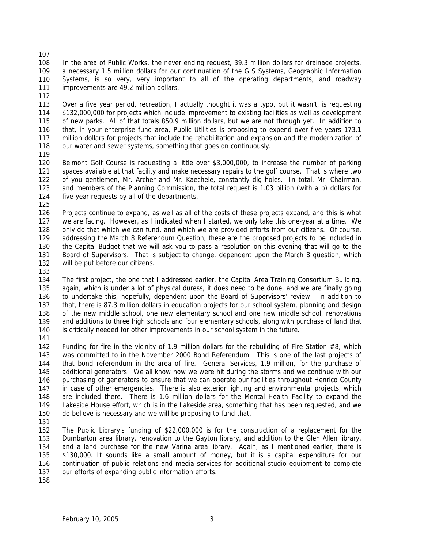108 109 110 111 In the area of Public Works, the never ending request, 39.3 million dollars for drainage projects, a necessary 1.5 million dollars for our continuation of the GIS Systems, Geographic Information Systems, is so very, very important to all of the operating departments, and roadway improvements are 49.2 million dollars.

112

107

113 114 115 116 117 118 Over a five year period, recreation, I actually thought it was a typo, but it wasn't, is requesting \$132,000,000 for projects which include improvement to existing facilities as well as development of new parks. All of that totals 850.9 million dollars, but we are not through yet. In addition to that, in your enterprise fund area, Public Utilities is proposing to expend over five years 173.1 million dollars for projects that include the rehabilitation and expansion and the modernization of our water and sewer systems, something that goes on continuously.

119

120 121 122 123 124 Belmont Golf Course is requesting a little over \$3,000,000, to increase the number of parking spaces available at that facility and make necessary repairs to the golf course. That is where two of you gentlemen, Mr. Archer and Mr. Kaechele, constantly dig holes. In total, Mr. Chairman, and members of the Planning Commission, the total request is 1.03 billion (with a b) dollars for five-year requests by all of the departments.

125

126 127 128 129 130 131 132 Projects continue to expand, as well as all of the costs of these projects expand, and this is what we are facing. However, as I indicated when I started, we only take this one-year at a time. We only do that which we can fund, and which we are provided efforts from our citizens. Of course, addressing the March 8 Referendum Question, these are the proposed projects to be included in the Capital Budget that we will ask you to pass a resolution on this evening that will go to the Board of Supervisors. That is subject to change, dependent upon the March 8 question, which will be put before our citizens.

133

134 135 136 137 138 139 140 The first project, the one that I addressed earlier, the Capital Area Training Consortium Building, again, which is under a lot of physical duress, it does need to be done, and we are finally going to undertake this, hopefully, dependent upon the Board of Supervisors' review. In addition to that, there is 87.3 million dollars in education projects for our school system, planning and design of the new middle school, one new elementary school and one new middle school, renovations and additions to three high schools and four elementary schools, along with purchase of land that is critically needed for other improvements in our school system in the future.

141

142 143 144 145 146 147 148 149 150 Funding for fire in the vicinity of 1.9 million dollars for the rebuilding of Fire Station #8, which was committed to in the November 2000 Bond Referendum. This is one of the last projects of that bond referendum in the area of fire. General Services, 1.9 million, for the purchase of additional generators. We all know how we were hit during the storms and we continue with our purchasing of generators to ensure that we can operate our facilities throughout Henrico County in case of other emergencies. There is also exterior lighting and environmental projects, which are included there. There is 1.6 million dollars for the Mental Health Facility to expand the Lakeside House effort, which is in the Lakeside area, something that has been requested, and we do believe is necessary and we will be proposing to fund that.

151

152 153 154 155 156 157 The Public Library's funding of \$22,000,000 is for the construction of a replacement for the Dumbarton area library, renovation to the Gayton library, and addition to the Glen Allen library, and a land purchase for the new Varina area library. Again, as I mentioned earlier, there is \$130,000. It sounds like a small amount of money, but it is a capital expenditure for our continuation of public relations and media services for additional studio equipment to complete our efforts of expanding public information efforts.

158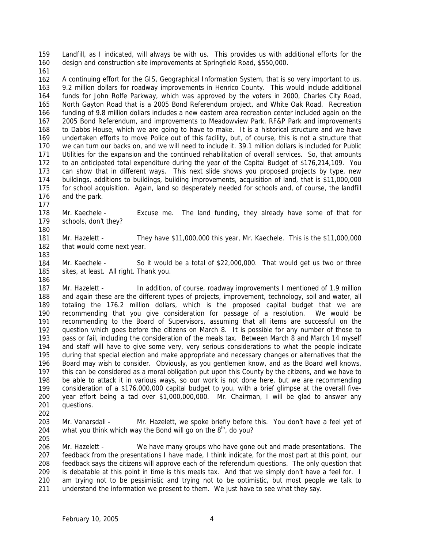159 160 Landfill, as I indicated, will always be with us. This provides us with additional efforts for the design and construction site improvements at Springfield Road, \$550,000.

161

162 163 164 165 166 167 168 169 170 171 172 173 174 175 176 A continuing effort for the GIS, Geographical Information System, that is so very important to us. 9.2 million dollars for roadway improvements in Henrico County. This would include additional funds for John Rolfe Parkway, which was approved by the voters in 2000, Charles City Road, North Gayton Road that is a 2005 Bond Referendum project, and White Oak Road. Recreation funding of 9.8 million dollars includes a new eastern area recreation center included again on the 2005 Bond Referendum, and improvements to Meadowview Park, RF&P Park and improvements to Dabbs House, which we are going to have to make. It is a historical structure and we have undertaken efforts to move Police out of this facility, but, of course, this is not a structure that we can turn our backs on, and we will need to include it. 39.1 million dollars is included for Public Utilities for the expansion and the continued rehabilitation of overall services. So, that amounts to an anticipated total expenditure during the year of the Capital Budget of \$176,214,109. You can show that in different ways. This next slide shows you proposed projects by type, new buildings, additions to buildings, building improvements, acquisition of land, that is \$11,000,000 for school acquisition. Again, land so desperately needed for schools and, of course, the landfill and the park.

178 179 180 Mr. Kaechele - Excuse me. The land funding, they already have some of that for schools, don't they?

181 182 Mr. Hazelett - They have \$11,000,000 this year, Mr. Kaechele. This is the \$11,000,000 that would come next year.

183

177

184 185 186 Mr. Kaechele - So it would be a total of \$22,000,000. That would get us two or three sites, at least. All right. Thank you.

187 188 189 190 191 192 193 194 195 196 197 198 199 200 201 Mr. Hazelett - In addition, of course, roadway improvements I mentioned of 1.9 million and again these are the different types of projects, improvement, technology, soil and water, all totaling the 176.2 million dollars, which is the proposed capital budget that we are recommending that you give consideration for passage of a resolution. We would be recommending to the Board of Supervisors, assuming that all items are successful on the question which goes before the citizens on March 8. It is possible for any number of those to pass or fail, including the consideration of the meals tax. Between March 8 and March 14 myself and staff will have to give some very, very serious considerations to what the people indicate during that special election and make appropriate and necessary changes or alternatives that the Board may wish to consider. Obviously, as you gentlemen know, and as the Board well knows, this can be considered as a moral obligation put upon this County by the citizens, and we have to be able to attack it in various ways, so our work is not done here, but we are recommending consideration of a \$176,000,000 capital budget to you, with a brief glimpse at the overall fiveyear effort being a tad over \$1,000,000,000. Mr. Chairman, I will be glad to answer any questions.

202

203 204 Mr. Vanarsdall - Mr. Hazelett, we spoke briefly before this. You don't have a feel yet of what you think which way the Bond will go on the  $8<sup>th</sup>$ , do you?

205

206 207 208 209 210 211 Mr. Hazelett - We have many groups who have gone out and made presentations. The feedback from the presentations I have made, I think indicate, for the most part at this point, our feedback says the citizens will approve each of the referendum questions. The only question that is debatable at this point in time is this meals tax. And that we simply don't have a feel for. I am trying not to be pessimistic and trying not to be optimistic, but most people we talk to understand the information we present to them. We just have to see what they say.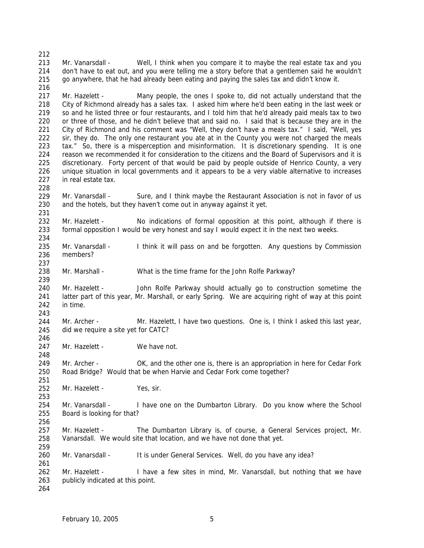212 213 214 215 216 217 218 219 220 221 222 223 224 225 226 227 228 229 230 231 232 233 234 235 236 237 238 239 240 241 242 243 244 245 246 247 248 249 250 251 252 253 254 255 256 257 258 259 260 261 262 263 264 Mr. Vanarsdall - Well, I think when you compare it to maybe the real estate tax and you don't have to eat out, and you were telling me a story before that a gentlemen said he wouldn't go anywhere, that he had already been eating and paying the sales tax and didn't know it. Mr. Hazelett - Many people, the ones I spoke to, did not actually understand that the City of Richmond already has a sales tax. I asked him where he'd been eating in the last week or so and he listed three or four restaurants, and I told him that he'd already paid meals tax to two or three of those, and he didn't believe that and said no. I said that is because they are in the City of Richmond and his comment was "Well, they don't have a meals tax." I said, "Well, yes sir, they do. The only one restaurant you ate at in the County you were not charged the meals tax." So, there is a misperception and misinformation. It is discretionary spending. It is one reason we recommended it for consideration to the citizens and the Board of Supervisors and it is discretionary. Forty percent of that would be paid by people outside of Henrico County, a very unique situation in local governments and it appears to be a very viable alternative to increases in real estate tax. Mr. Vanarsdall - Sure, and I think maybe the Restaurant Association is not in favor of us and the hotels, but they haven't come out in anyway against it yet. Mr. Hazelett - No indications of formal opposition at this point, although if there is formal opposition I would be very honest and say I would expect it in the next two weeks. Mr. Vanarsdall - I think it will pass on and be forgotten. Any questions by Commission members? Mr. Marshall - What is the time frame for the John Rolfe Parkway? Mr. Hazelett - John Rolfe Parkway should actually go to construction sometime the latter part of this year, Mr. Marshall, or early Spring. We are acquiring right of way at this point in time. Mr. Archer - Mr. Hazelett, I have two questions. One is, I think I asked this last year, did we require a site yet for CATC? Mr. Hazelett - We have not. Mr. Archer - OK, and the other one is, there is an appropriation in here for Cedar Fork Road Bridge? Would that be when Harvie and Cedar Fork come together? Mr. Hazelett - Yes, sir. Mr. Vanarsdall - I have one on the Dumbarton Library. Do you know where the School Board is looking for that? Mr. Hazelett - The Dumbarton Library is, of course, a General Services project, Mr. Vanarsdall. We would site that location, and we have not done that yet. Mr. Vanarsdall - It is under General Services. Well, do you have any idea? Mr. Hazelett - I have a few sites in mind, Mr. Vanarsdall, but nothing that we have publicly indicated at this point.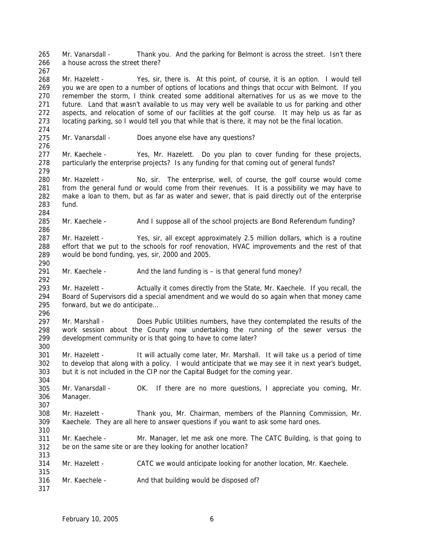265 266 267 268 269 270 271 272 273 274 275 276 277 278 279 280 281 282 283 284 285 286 287 288 289 290 291 292 293 294 295 296 297 298 299 300 301 302 303 304 305 306 307 308 309 310 311 312 313 314 315 316 317 Mr. Vanarsdall - Thank you. And the parking for Belmont is across the street. Isn't there a house across the street there? Mr. Hazelett - Yes, sir, there is. At this point, of course, it is an option. I would tell you we are open to a number of options of locations and things that occur with Belmont. If you remember the storm, I think created some additional alternatives for us as we move to the future. Land that wasn't available to us may very well be available to us for parking and other aspects, and relocation of some of our facilities at the golf course. It may help us as far as locating parking, so I would tell you that while that is there, it may not be the final location. Mr. Vanarsdall - Does anyone else have any questions? Mr. Kaechele - Yes, Mr. Hazelett. Do you plan to cover funding for these projects, particularly the enterprise projects? Is any funding for that coming out of general funds? Mr. Hazelett - No, sir. The enterprise, well, of course, the golf course would come from the general fund or would come from their revenues. It is a possibility we may have to make a loan to them, but as far as water and sewer, that is paid directly out of the enterprise fund. Mr. Kaechele - And I suppose all of the school projects are Bond Referendum funding? Mr. Hazelett - Yes, sir, all except approximately 2.5 million dollars, which is a routine effort that we put to the schools for roof renovation, HVAC improvements and the rest of that would be bond funding, yes, sir, 2000 and 2005. Mr. Kaechele -  $\blacksquare$  And the land funding is  $-$  is that general fund money? Mr. Hazelett - Actually it comes directly from the State, Mr. Kaechele. If you recall, the Board of Supervisors did a special amendment and we would do so again when that money came forward, but we do anticipate… Mr. Marshall - Does Public Utilities numbers, have they contemplated the results of the work session about the County now undertaking the running of the sewer versus the development community or is that going to have to come later? Mr. Hazelett - It will actually come later, Mr. Marshall. It will take us a period of time to develop that along with a policy. I would anticipate that we may see it in next year's budget, but it is not included in the CIP nor the Capital Budget for the coming year. Mr. Vanarsdall - OK. If there are no more questions, I appreciate you coming, Mr. Manager. Mr. Hazelett - Thank you, Mr. Chairman, members of the Planning Commission, Mr. Kaechele. They are all here to answer questions if you want to ask some hard ones. Mr. Kaechele - Mr. Manager, let me ask one more. The CATC Building, is that going to be on the same site or are they looking for another location? Mr. Hazelett - CATC we would anticipate looking for another location, Mr. Kaechele. Mr. Kaechele - And that building would be disposed of?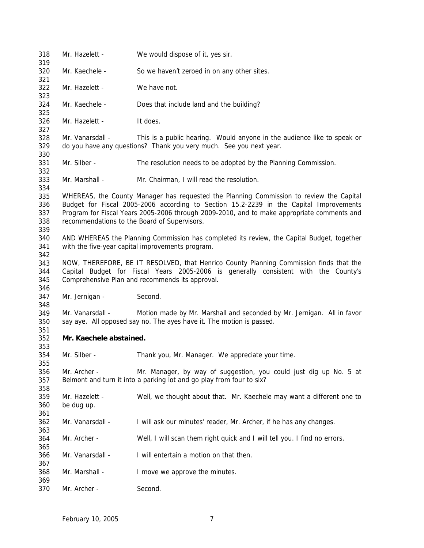| 318<br>319                      | Mr. Hazelett -                                                                                                                                                                                                                                                                                                                  | We would dispose of it, yes sir.                                                                                                               |
|---------------------------------|---------------------------------------------------------------------------------------------------------------------------------------------------------------------------------------------------------------------------------------------------------------------------------------------------------------------------------|------------------------------------------------------------------------------------------------------------------------------------------------|
| 320<br>321                      | Mr. Kaechele -                                                                                                                                                                                                                                                                                                                  | So we haven't zeroed in on any other sites.                                                                                                    |
| 322<br>323                      | Mr. Hazelett -                                                                                                                                                                                                                                                                                                                  | We have not.                                                                                                                                   |
| 324<br>325                      | Mr. Kaechele -                                                                                                                                                                                                                                                                                                                  | Does that include land and the building?                                                                                                       |
| 326<br>327                      | Mr. Hazelett -                                                                                                                                                                                                                                                                                                                  | It does.                                                                                                                                       |
| 328<br>329<br>330               | Mr. Vanarsdall -                                                                                                                                                                                                                                                                                                                | This is a public hearing. Would anyone in the audience like to speak or<br>do you have any questions? Thank you very much. See you next year.  |
| 331<br>332                      | Mr. Silber -                                                                                                                                                                                                                                                                                                                    | The resolution needs to be adopted by the Planning Commission.                                                                                 |
| 333<br>334                      | Mr. Marshall -                                                                                                                                                                                                                                                                                                                  | Mr. Chairman, I will read the resolution.                                                                                                      |
| 335<br>336<br>337<br>338<br>339 | WHEREAS, the County Manager has requested the Planning Commission to review the Capital<br>Budget for Fiscal 2005-2006 according to Section 15.2-2239 in the Capital Improvements<br>Program for Fiscal Years 2005-2006 through 2009-2010, and to make appropriate comments and<br>recommendations to the Board of Supervisors. |                                                                                                                                                |
| 340<br>341<br>342               | AND WHEREAS the Planning Commission has completed its review, the Capital Budget, together<br>with the five-year capital improvements program.                                                                                                                                                                                  |                                                                                                                                                |
| 343<br>344<br>345<br>346        | NOW, THEREFORE, BE IT RESOLVED, that Henrico County Planning Commission finds that the<br>Capital Budget for Fiscal Years 2005-2006 is generally consistent with the County's<br>Comprehensive Plan and recommends its approval.                                                                                                |                                                                                                                                                |
| 347<br>348                      | Mr. Jernigan -                                                                                                                                                                                                                                                                                                                  | Second.                                                                                                                                        |
| 349<br>350<br>351               | Mr. Vanarsdall -                                                                                                                                                                                                                                                                                                                | Motion made by Mr. Marshall and seconded by Mr. Jernigan. All in favor<br>say aye. All opposed say no. The ayes have it. The motion is passed. |
| 352<br>353                      | Mr. Kaechele abstained.                                                                                                                                                                                                                                                                                                         |                                                                                                                                                |
| 354<br>355                      | Mr. Silber -                                                                                                                                                                                                                                                                                                                    | Thank you, Mr. Manager. We appreciate your time.                                                                                               |
| 356<br>357<br>358               | Mr. Archer -                                                                                                                                                                                                                                                                                                                    | Mr. Manager, by way of suggestion, you could just dig up No. 5 at<br>Belmont and turn it into a parking lot and go play from four to six?      |
| 359<br>360<br>361               | Mr. Hazelett -<br>be dug up.                                                                                                                                                                                                                                                                                                    | Well, we thought about that. Mr. Kaechele may want a different one to                                                                          |
| 362<br>363                      | Mr. Vanarsdall -                                                                                                                                                                                                                                                                                                                | I will ask our minutes' reader, Mr. Archer, if he has any changes.                                                                             |
| 364<br>365                      | Mr. Archer -                                                                                                                                                                                                                                                                                                                    | Well, I will scan them right quick and I will tell you. I find no errors.                                                                      |
| 366<br>367                      | Mr. Vanarsdall -                                                                                                                                                                                                                                                                                                                | I will entertain a motion on that then.                                                                                                        |
| 368<br>369                      | Mr. Marshall -                                                                                                                                                                                                                                                                                                                  | I move we approve the minutes.                                                                                                                 |
| 370                             | Mr. Archer -                                                                                                                                                                                                                                                                                                                    | Second.                                                                                                                                        |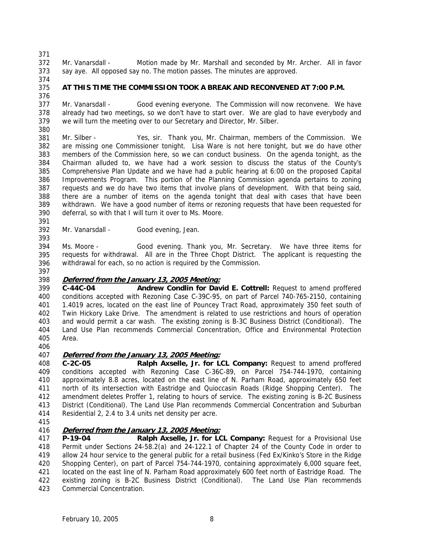371

372 373 Mr. Vanarsdall - Motion made by Mr. Marshall and seconded by Mr. Archer. All in favor say aye. All opposed say no. The motion passes. The minutes are approved.

- 374
- 375 376

# **AT THIS TIME THE COMMISSION TOOK A BREAK AND RECONVENED AT 7:00 P.M.**

377 378 379 380 Mr. Vanarsdall - Good evening everyone. The Commission will now reconvene. We have already had two meetings, so we don't have to start over. We are glad to have everybody and we will turn the meeting over to our Secretary and Director, Mr. Silber.

381 382 383 384 385 386 387 388 389 390 Mr. Silber - Yes, sir. Thank you, Mr. Chairman, members of the Commission. We are missing one Commissioner tonight. Lisa Ware is not here tonight, but we do have other members of the Commission here, so we can conduct business. On the agenda tonight, as the Chairman alluded to, we have had a work session to discuss the status of the County's Comprehensive Plan Update and we have had a public hearing at 6:00 on the proposed Capital Improvements Program. This portion of the Planning Commission agenda pertains to zoning requests and we do have two items that involve plans of development. With that being said, there are a number of items on the agenda tonight that deal with cases that have been withdrawn. We have a good number of items or rezoning requests that have been requested for deferral, so with that I will turn it over to Ms. Moore.

391 392

393

Mr. Vanarsdall - Good evening, Jean.

394 395 396 Ms. Moore - Good evening. Thank you, Mr. Secretary. We have three items for requests for withdrawal. All are in the Three Chopt District. The applicant is requesting the withdrawal for each, so no action is required by the Commission.

397

## 398 **Deferred from the January 13, 2005 Meeting:**

399 400 401 402 403 404 405 **C-44C-04 Andrew Condlin for David E. Cottrell:** Request to amend proffered conditions accepted with Rezoning Case C-39C-95, on part of Parcel 740-765-2150, containing 1.4019 acres, located on the east line of Pouncey Tract Road, approximately 350 feet south of Twin Hickory Lake Drive. The amendment is related to use restrictions and hours of operation and would permit a car wash. The existing zoning is B-3C Business District (Conditional). The Land Use Plan recommends Commercial Concentration, Office and Environmental Protection Area.

406

## 407 **Deferred from the January 13, 2005 Meeting:**

408 409 410 411 412 413 414 **C-2C-05 Ralph Axselle, Jr. for LCL Company:** Request to amend proffered conditions accepted with Rezoning Case C-36C-89, on Parcel 754-744-1970, containing approximately 8.8 acres, located on the east line of N. Parham Road, approximately 650 feet north of its intersection with Eastridge and Quioccasin Roads (Ridge Shopping Center). The amendment deletes Proffer 1, relating to hours of service. The existing zoning is B-2C Business District (Conditional). The Land Use Plan recommends Commercial Concentration and Suburban Residential 2, 2.4 to 3.4 units net density per acre.

415

# 416 **Deferred from the January 13, 2005 Meeting:**

417 418 419 420 421 422 423 **P-19-04 Ralph Axselle, Jr. for LCL Company:** Request for a Provisional Use Permit under Sections 24-58.2(a) and 24-122.1 of Chapter 24 of the County Code in order to allow 24 hour service to the general public for a retail business (Fed Ex/Kinko's Store in the Ridge Shopping Center), on part of Parcel 754-744-1970, containing approximately 6,000 square feet, located on the east line of N. Parham Road approximately 600 feet north of Eastridge Road. The existing zoning is B-2C Business District (Conditional). The Land Use Plan recommends Commercial Concentration.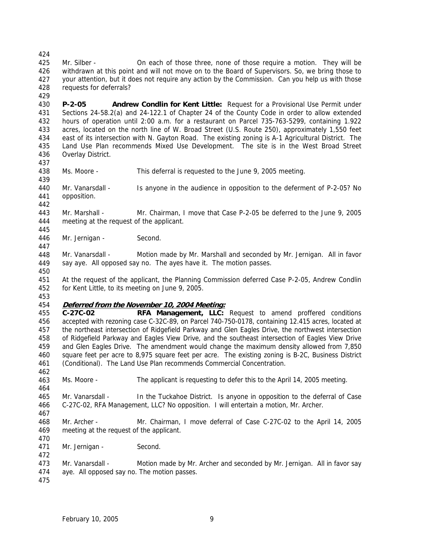425 426 427 428 Mr. Silber - On each of those three, none of those require a motion. They will be withdrawn at this point and will not move on to the Board of Supervisors. So, we bring those to your attention, but it does not require any action by the Commission. Can you help us with those requests for deferrals?

429

424

430 431 432 433 434 435 436 **P-2-05 Andrew Condlin for Kent Little:** Request for a Provisional Use Permit under Sections 24-58.2(a) and 24-122.1 of Chapter 24 of the County Code in order to allow extended hours of operation until 2:00 a.m. for a restaurant on Parcel 735-763-5299, containing 1.922 acres, located on the north line of W. Broad Street (U.S. Route 250), approximately 1,550 feet east of its intersection with N. Gayton Road. The existing zoning is A-1 Agricultural District. The Land Use Plan recommends Mixed Use Development. The site is in the West Broad Street Overlay District.

437

442

445

447

450

438 439 Ms. Moore - This deferral is requested to the June 9, 2005 meeting.

440 441 Mr. Vanarsdall - Is anyone in the audience in opposition to the deferment of P-2-05? No opposition.

443 444 Mr. Marshall - Mr. Chairman, I move that Case P-2-05 be deferred to the June 9, 2005 meeting at the request of the applicant.

446 Mr. Jernigan - Second.

448 449 Mr. Vanarsdall - Motion made by Mr. Marshall and seconded by Mr. Jernigan. All in favor say aye. All opposed say no. The ayes have it. The motion passes.

451 452 At the request of the applicant, the Planning Commission deferred Case P-2-05, Andrew Condlin for Kent Little, to its meeting on June 9, 2005.

453

## 454 **Deferred from the November 10, 2004 Meeting:**

455 456 457 458 459 460 461 **C-27C-02 RFA Management, LLC:** Request to amend proffered conditions accepted with rezoning case C-32C-89, on Parcel 740-750-0178, containing 12.415 acres, located at the northeast intersection of Ridgefield Parkway and Glen Eagles Drive, the northwest intersection of Ridgefield Parkway and Eagles View Drive, and the southeast intersection of Eagles View Drive and Glen Eagles Drive. The amendment would change the maximum density allowed from 7,850 square feet per acre to 8,975 square feet per acre. The existing zoning is B-2C, Business District (Conditional). The Land Use Plan recommends Commercial Concentration.

463 Ms. Moore - The applicant is requesting to defer this to the April 14, 2005 meeting.

465 466 Mr. Vanarsdall - In the Tuckahoe District. Is anyone in opposition to the deferral of Case C-27C-02, RFA Management, LLC? No opposition. I will entertain a motion, Mr. Archer.

467

462

464

468 469 Mr. Archer - Mr. Chairman, I move deferral of Case C-27C-02 to the April 14, 2005 meeting at the request of the applicant.

470 471

Mr. Jernigan - Second.

473 474 Mr. Vanarsdall - Motion made by Mr. Archer and seconded by Mr. Jernigan. All in favor say aye. All opposed say no. The motion passes.

475

472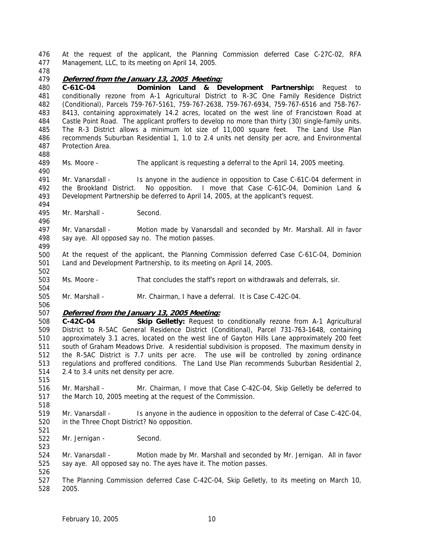476 477 At the request of the applicant, the Planning Commission deferred Case C-27C-02, RFA Management, LLC, to its meeting on April 14, 2005.

478

488

494

496

499

502

504

506

515

518

521

523

## 479 **Deferred from the January 13, 2005 Meeting:**

480 481 482 483 484 485 486 487 **C-61C-04 Dominion Land & Development Partnership:** Request to conditionally rezone from A-1 Agricultural District to R-3C One Family Residence District (Conditional), Parcels 759-767-5161, 759-767-2638, 759-767-6934, 759-767-6516 and 758-767- 8413, containing approximately 14.2 acres, located on the west line of Francistown Road at Castle Point Road. The applicant proffers to develop no more than thirty (30) single-family units. The R-3 District allows a minimum lot size of 11,000 square feet. The Land Use Plan recommends Suburban Residential 1, 1.0 to 2.4 units net density per acre, and Environmental Protection Area.

489 490 Ms. Moore - The applicant is requesting a deferral to the April 14, 2005 meeting.

491 492 493 Mr. Vanarsdall - Is anyone in the audience in opposition to Case C-61C-04 deferment in the Brookland District. No opposition. I move that Case C-61C-04, Dominion Land & Development Partnership be deferred to April 14, 2005, at the applicant's request.

495 Mr. Marshall - Second.

497 498 Mr. Vanarsdall - Motion made by Vanarsdall and seconded by Mr. Marshall. All in favor say aye. All opposed say no. The motion passes.

- 500 501 At the request of the applicant, the Planning Commission deferred Case C-61C-04, Dominion Land and Development Partnership, to its meeting on April 14, 2005.
- 503 Ms. Moore - That concludes the staff's report on withdrawals and deferrals, sir.
- 505 Mr. Marshall - Mr. Chairman, I have a deferral. It is Case C-42C-04.
- 507 **Deferred from the January 13, 2005 Meeting:**

508 509 510 511 512 513 514 **C-42C-04 Skip Gelletly:** Request to conditionally rezone from A-1 Agricultural District to R-5AC General Residence District (Conditional), Parcel 731-763-1648, containing approximately 3.1 acres, located on the west line of Gayton Hills Lane approximately 200 feet south of Graham Meadows Drive. A residential subdivision is proposed. The maximum density in the R-5AC District is 7.7 units per acre. The use will be controlled by zoning ordinance regulations and proffered conditions. The Land Use Plan recommends Suburban Residential 2, 2.4 to 3.4 units net density per acre.

- 516 517 Mr. Marshall - Mr. Chairman, I move that Case C-42C-04, Skip Gelletly be deferred to the March 10, 2005 meeting at the request of the Commission.
- 519 520 Mr. Vanarsdall - Is anyone in the audience in opposition to the deferral of Case C-42C-04, in the Three Chopt District? No opposition.
- 522 Mr. Jernigan - Second.

524 525 Mr. Vanarsdall - Motion made by Mr. Marshall and seconded by Mr. Jernigan. All in favor say aye. All opposed say no. The ayes have it. The motion passes.

526 527 528 The Planning Commission deferred Case C-42C-04, Skip Gelletly, to its meeting on March 10, 2005.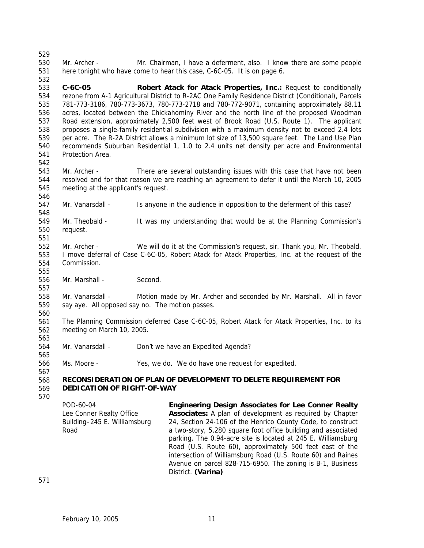530 531 Mr. Archer - Mr. Chairman, I have a deferment, also. I know there are some people here tonight who have come to hear this case, C-6C-05. It is on page 6.

533 534 535 536 537 538 539 540 541 **C-6C-05 Robert Atack for Atack Properties, Inc.:** Request to conditionally rezone from A-1 Agricultural District to R-2AC One Family Residence District (Conditional), Parcels 781-773-3186, 780-773-3673, 780-773-2718 and 780-772-9071, containing approximately 88.11 acres, located between the Chickahominy River and the north line of the proposed Woodman Road extension, approximately 2,500 feet west of Brook Road (U.S. Route 1). The applicant proposes a single-family residential subdivision with a maximum density not to exceed 2.4 lots per acre. The R-2A District allows a minimum lot size of 13,500 square feet. The Land Use Plan recommends Suburban Residential 1, 1.0 to 2.4 units net density per acre and Environmental Protection Area.

542

551

555

557

563

565

567

570

529

532

543 544 545 546 Mr. Archer - There are several outstanding issues with this case that have not been resolved and for that reason we are reaching an agreement to defer it until the March 10, 2005 meeting at the applicant's request.

547 548 Mr. Vanarsdall - Is anyone in the audience in opposition to the deferment of this case?

549 550 Mr. Theobald - It was my understanding that would be at the Planning Commission's request.

552 553 554 Mr. Archer - We will do it at the Commission's request, sir. Thank you, Mr. Theobald. I move deferral of Case C-6C-05, Robert Atack for Atack Properties, Inc. at the request of the Commission.

556 Mr. Marshall - Second.

558 559 560 Mr. Vanarsdall - Motion made by Mr. Archer and seconded by Mr. Marshall. All in favor say aye. All opposed say no. The motion passes.

561 562 The Planning Commission deferred Case C-6C-05, Robert Atack for Atack Properties, Inc. to its meeting on March 10, 2005.

564 Mr. Vanarsdall - Don't we have an Expedited Agenda?

566 Ms. Moore - Yes, we do. We do have one request for expedited.

#### 568 569 **RECONSIDERATION OF PLAN OF DEVELOPMENT TO DELETE REQUIREMENT FOR DEDICATION OF RIGHT-OF-WAY**

POD-60-04 Lee Conner Realty Office Building–245 E. Williamsburg Road **Engineering Design Associates for Lee Conner Realty Associates:** A plan of development as required by Chapter 24, Section 24-106 of the Henrico County Code, to construct a two-story, 5,280 square foot office building and associated parking. The 0.94-acre site is located at 245 E. Williamsburg Road (U.S. Route 60), approximately 500 feet east of the intersection of Williamsburg Road (U.S. Route 60) and Raines Avenue on parcel 828-715-6950. The zoning is B-1, Business District. **(Varina)** 

571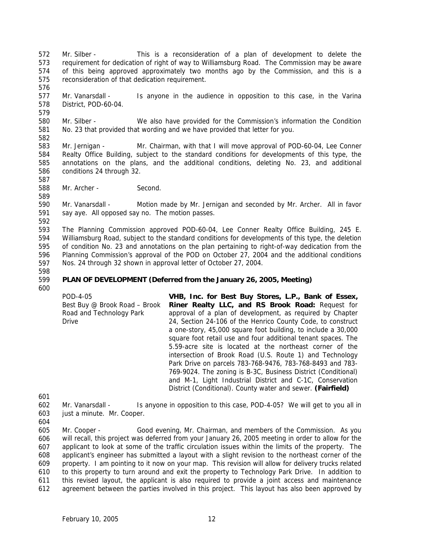- 572 573 574 575 Mr. Silber - This is a reconsideration of a plan of development to delete the requirement for dedication of right of way to Williamsburg Road. The Commission may be aware of this being approved approximately two months ago by the Commission, and this is a reconsideration of that dedication requirement.
- 577 578 579 Mr. Vanarsdall - Is anyone in the audience in opposition to this case, in the Varina District, POD-60-04.
- 580 581 Mr. Silber - We also have provided for the Commission's information the Condition No. 23 that provided that wording and we have provided that letter for you.
- 582

576

- 583 584 585 586 Mr. Jernigan - Mr. Chairman, with that I will move approval of POD-60-04, Lee Conner Realty Office Building, subject to the standard conditions for developments of this type, the annotations on the plans, and the additional conditions, deleting No. 23, and additional conditions 24 through 32.
- 588 Mr. Archer - Second.

590 591 Mr. Vanarsdall - Motion made by Mr. Jernigan and seconded by Mr. Archer. All in favor say aye. All opposed say no. The motion passes.

592

587

589

593 594 595 596 597 The Planning Commission approved POD-60-04, Lee Conner Realty Office Building, 245 E. Williamsburg Road, subject to the standard conditions for developments of this type, the deletion of condition No. 23 and annotations on the plan pertaining to right-of-way dedication from the Planning Commission's approval of the POD on October 27, 2004 and the additional conditions Nos. 24 through 32 shown in approval letter of October 27, 2004.

598 599

## **PLAN OF DEVELOPMENT (Deferred from the January 26, 2005, Meeting)**

600

POD-4-05 Best Buy @ Brook Road – Brook Road and Technology Park Drive **VHB, Inc. for Best Buy Stores, L.P., Bank of Essex, Riner Realty LLC, and RS Brook Road:** Request for approval of a plan of development, as required by Chapter 24, Section 24-106 of the Henrico County Code, to construct a one-story, 45,000 square foot building, to include a 30,000 square foot retail use and four additional tenant spaces. The 5.59-acre site is located at the northeast corner of the intersection of Brook Road (U.S. Route 1) and Technology Park Drive on parcels 783-768-9476, 783-768-8493 and 783- 769-9024. The zoning is B-3C, Business District (Conditional) and M-1, Light Industrial District and C-1C, Conservation District (Conditional). County water and sewer. **(Fairfield)** 

601

- 602 603 Mr. Vanarsdall - Is anyone in opposition to this case, POD-4-05? We will get to you all in just a minute. Mr. Cooper.
- 604

605 606 607 608 609 610 611 612 Mr. Cooper - Good evening, Mr. Chairman, and members of the Commission. As you will recall, this project was deferred from your January 26, 2005 meeting in order to allow for the applicant to look at some of the traffic circulation issues within the limits of the property. The applicant's engineer has submitted a layout with a slight revision to the northeast corner of the property. I am pointing to it now on your map. This revision will allow for delivery trucks related to this property to turn around and exit the property to Technology Park Drive. In addition to this revised layout, the applicant is also required to provide a joint access and maintenance agreement between the parties involved in this project. This layout has also been approved by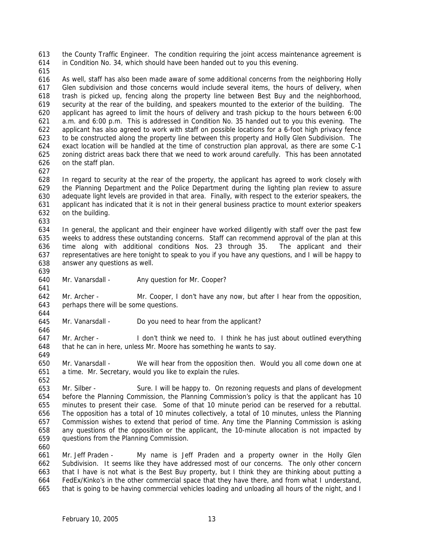613 614 the County Traffic Engineer. The condition requiring the joint access maintenance agreement is in Condition No. 34, which should have been handed out to you this evening.

615

616 617 618 619 620 621 622 623 624 625 626 As well, staff has also been made aware of some additional concerns from the neighboring Holly Glen subdivision and those concerns would include several items, the hours of delivery, when trash is picked up, fencing along the property line between Best Buy and the neighborhood, security at the rear of the building, and speakers mounted to the exterior of the building. The applicant has agreed to limit the hours of delivery and trash pickup to the hours between 6:00 a.m. and 6:00 p.m. This is addressed in Condition No. 35 handed out to you this evening. The applicant has also agreed to work with staff on possible locations for a 6-foot high privacy fence to be constructed along the property line between this property and Holly Glen Subdivision. The exact location will be handled at the time of construction plan approval, as there are some C-1 zoning district areas back there that we need to work around carefully. This has been annotated on the staff plan.

627

639

641

646

649

652

628 629 630 631 632 633 In regard to security at the rear of the property, the applicant has agreed to work closely with the Planning Department and the Police Department during the lighting plan review to assure adequate light levels are provided in that area. Finally, with respect to the exterior speakers, the applicant has indicated that it is not in their general business practice to mount exterior speakers on the building.

634 635 636 637 638 In general, the applicant and their engineer have worked diligently with staff over the past few weeks to address these outstanding concerns. Staff can recommend approval of the plan at this time along with additional conditions Nos. 23 through 35. The applicant and their representatives are here tonight to speak to you if you have any questions, and I will be happy to answer any questions as well.

640 Mr. Vanarsdall - Any question for Mr. Cooper?

642 643 644 Mr. Archer - Mr. Cooper, I don't have any now, but after I hear from the opposition, perhaps there will be some questions.

645 Mr. Vanarsdall - Do you need to hear from the applicant?

647 648 Mr. Archer - I don't think we need to. I think he has just about outlined everything that he can in here, unless Mr. Moore has something he wants to say.

650 651 Mr. Vanarsdall - We will hear from the opposition then. Would you all come down one at a time. Mr. Secretary, would you like to explain the rules.

653 654 655 656 657 658 659 Mr. Silber - Sure. I will be happy to. On rezoning requests and plans of development before the Planning Commission, the Planning Commission's policy is that the applicant has 10 minutes to present their case. Some of that 10 minute period can be reserved for a rebuttal. The opposition has a total of 10 minutes collectively, a total of 10 minutes, unless the Planning Commission wishes to extend that period of time. Any time the Planning Commission is asking any questions of the opposition or the applicant, the 10-minute allocation is not impacted by questions from the Planning Commission.

660

661 662 663 664 665 Mr. Jeff Praden - My name is Jeff Praden and a property owner in the Holly Glen Subdivision. It seems like they have addressed most of our concerns. The only other concern that I have is not what is the Best Buy property, but I think they are thinking about putting a FedEx/Kinko's in the other commercial space that they have there, and from what I understand, that is going to be having commercial vehicles loading and unloading all hours of the night, and I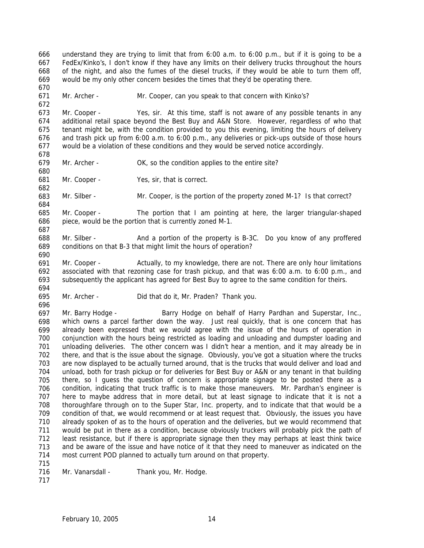666 667 668 669 670 671 672 673 674 675 676 677 678 679 680 681 682 683 684 685 686 687 688 689 690 691 692 693 694 695 696 697 698 699 700 701 702 703 704 705 706 707 708 709 710 711 712 713 714 715 716 717 understand they are trying to limit that from 6:00 a.m. to 6:00 p.m., but if it is going to be a FedEx/Kinko's, I don't know if they have any limits on their delivery trucks throughout the hours of the night, and also the fumes of the diesel trucks, if they would be able to turn them off, would be my only other concern besides the times that they'd be operating there. Mr. Archer - Mr. Cooper, can you speak to that concern with Kinko's? Mr. Cooper - Yes, sir. At this time, staff is not aware of any possible tenants in any additional retail space beyond the Best Buy and A&N Store. However, regardless of who that tenant might be, with the condition provided to you this evening, limiting the hours of delivery and trash pick up from 6:00 a.m. to 6:00 p.m., any deliveries or pick-ups outside of those hours would be a violation of these conditions and they would be served notice accordingly. Mr. Archer - OK, so the condition applies to the entire site? Mr. Cooper - Yes, sir, that is correct. Mr. Silber - Mr. Cooper, is the portion of the property zoned M-1? Is that correct? Mr. Cooper - The portion that I am pointing at here, the larger triangular-shaped piece, would be the portion that is currently zoned M-1. Mr. Silber - And a portion of the property is B-3C. Do you know of any proffered conditions on that B-3 that might limit the hours of operation? Mr. Cooper - Actually, to my knowledge, there are not. There are only hour limitations associated with that rezoning case for trash pickup, and that was 6:00 a.m. to 6:00 p.m., and subsequently the applicant has agreed for Best Buy to agree to the same condition for theirs. Mr. Archer - Did that do it, Mr. Praden? Thank you. Mr. Barry Hodge - Barry Hodge on behalf of Harry Pardhan and Superstar, Inc., which owns a parcel farther down the way. Just real quickly, that is one concern that has already been expressed that we would agree with the issue of the hours of operation in conjunction with the hours being restricted as loading and unloading and dumpster loading and unloading deliveries. The other concern was I didn't hear a mention, and it may already be in there, and that is the issue about the signage. Obviously, you've got a situation where the trucks are now displayed to be actually turned around, that is the trucks that would deliver and load and unload, both for trash pickup or for deliveries for Best Buy or A&N or any tenant in that building there, so I guess the question of concern is appropriate signage to be posted there as a condition, indicating that truck traffic is to make those maneuvers. Mr. Pardhan's engineer is here to maybe address that in more detail, but at least signage to indicate that it is not a thoroughfare through on to the Super Star, Inc. property, and to indicate that that would be a condition of that, we would recommend or at least request that. Obviously, the issues you have already spoken of as to the hours of operation and the deliveries, but we would recommend that would be put in there as a condition, because obviously truckers will probably pick the path of least resistance, but if there is appropriate signage then they may perhaps at least think twice and be aware of the issue and have notice of it that they need to maneuver as indicated on the most current POD planned to actually turn around on that property. Mr. Vanarsdall - Thank you, Mr. Hodge.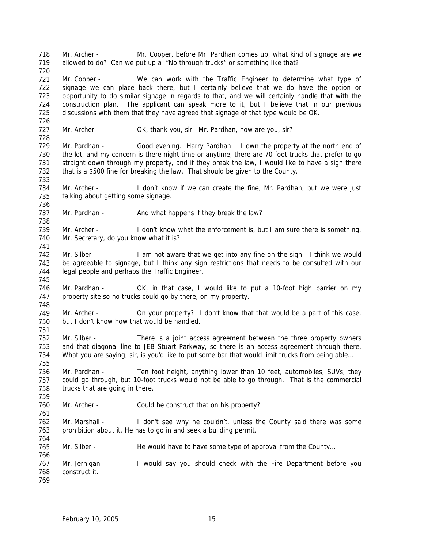718 719 720 721 722 723 724 725 726 727 728 729 730 731 732 733 734 735 736 737 738 739 740 741 742 743 744 745 746 747 748 749 750 751 752 753 754 755 756 757 758 759 760 761 762 763 764 765 766 767 768 769 Mr. Archer - Mr. Cooper, before Mr. Pardhan comes up, what kind of signage are we allowed to do? Can we put up a "No through trucks" or something like that? Mr. Cooper - We can work with the Traffic Engineer to determine what type of signage we can place back there, but I certainly believe that we do have the option or opportunity to do similar signage in regards to that, and we will certainly handle that with the construction plan. The applicant can speak more to it, but I believe that in our previous discussions with them that they have agreed that signage of that type would be OK. Mr. Archer - OK, thank you, sir. Mr. Pardhan, how are you, sir? Mr. Pardhan - Good evening. Harry Pardhan. I own the property at the north end of the lot, and my concern is there night time or anytime, there are 70-foot trucks that prefer to go straight down through my property, and if they break the law, I would like to have a sign there that is a \$500 fine for breaking the law. That should be given to the County. Mr. Archer - I don't know if we can create the fine, Mr. Pardhan, but we were just talking about getting some signage. Mr. Pardhan - And what happens if they break the law? Mr. Archer - I don't know what the enforcement is, but I am sure there is something. Mr. Secretary, do you know what it is? Mr. Silber - I am not aware that we get into any fine on the sign. I think we would be agreeable to signage, but I think any sign restrictions that needs to be consulted with our legal people and perhaps the Traffic Engineer. Mr. Pardhan - OK, in that case, I would like to put a 10-foot high barrier on my property site so no trucks could go by there, on my property. Mr. Archer - On your property? I don't know that that would be a part of this case, but I don't know how that would be handled. Mr. Silber - There is a joint access agreement between the three property owners and that diagonal line to JEB Stuart Parkway, so there is an access agreement through there. What you are saying, sir, is you'd like to put some bar that would limit trucks from being able... Mr. Pardhan - Ten foot height, anything lower than 10 feet, automobiles, SUVs, they could go through, but 10-foot trucks would not be able to go through. That is the commercial trucks that are going in there. Mr. Archer - Could he construct that on his property? Mr. Marshall - I don't see why he couldn't, unless the County said there was some prohibition about it. He has to go in and seek a building permit. Mr. Silber - He would have to have some type of approval from the County... Mr. Jernigan - I would say you should check with the Fire Department before you construct it.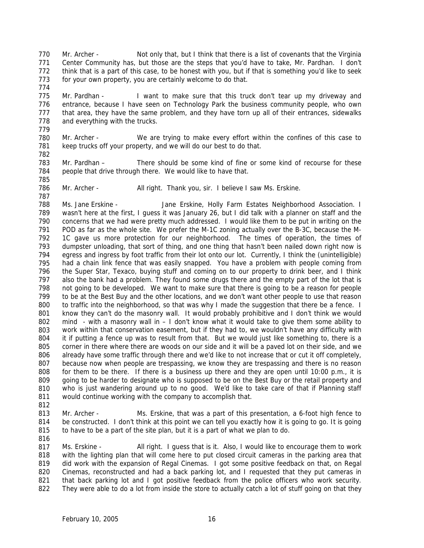770 771 772 773 Mr. Archer - Not only that, but I think that there is a list of covenants that the Virginia Center Community has, but those are the steps that you'd have to take, Mr. Pardhan. I don't think that is a part of this case, to be honest with you, but if that is something you'd like to seek for your own property, you are certainly welcome to do that.

775 776 777 778 779 Mr. Pardhan - I want to make sure that this truck don't tear up my driveway and entrance, because I have seen on Technology Park the business community people, who own that area, they have the same problem, and they have torn up all of their entrances, sidewalks and everything with the trucks.

780 781 782 Mr. Archer - We are trying to make every effort within the confines of this case to keep trucks off your property, and we will do our best to do that.

783 784 Mr. Pardhan – There should be some kind of fine or some kind of recourse for these people that drive through there. We would like to have that.

785 786 787

774

Mr. Archer - All right. Thank you, sir. I believe I saw Ms. Erskine.

788 789 790 791 792 793 794 795 796 797 798 799 800 801 802 803 804 805 806 807 808 809 810 811 Ms. Jane Erskine - Jane Erskine, Holly Farm Estates Neighborhood Association. I wasn't here at the first, I guess it was January 26, but I did talk with a planner on staff and the concerns that we had were pretty much addressed. I would like them to be put in writing on the POD as far as the whole site. We prefer the M-1C zoning actually over the B-3C, because the M-1C gave us more protection for our neighborhood. The times of operation, the times of dumpster unloading, that sort of thing, and one thing that hasn't been nailed down right now is egress and ingress by foot traffic from their lot onto our lot. Currently, I think the (unintelligible) had a chain link fence that was easily snapped. You have a problem with people coming from the Super Star, Texaco, buying stuff and coming on to our property to drink beer, and I think also the bank had a problem. They found some drugs there and the empty part of the lot that is not going to be developed. We want to make sure that there is going to be a reason for people to be at the Best Buy and the other locations, and we don't want other people to use that reason to traffic into the neighborhood, so that was why I made the suggestion that there be a fence. I know they can't do the masonry wall. It would probably prohibitive and I don't think we would mind - with a masonry wall in – I don't know what it would take to give them some ability to work within that conservation easement, but if they had to, we wouldn't have any difficulty with it if putting a fence up was to result from that. But we would just like something to, there is a corner in there where there are woods on our side and it will be a paved lot on their side, and we already have some traffic through there and we'd like to not increase that or cut it off completely, because now when people are trespassing, we know they are trespassing and there is no reason for them to be there. If there is a business up there and they are open until 10:00 p.m., it is going to be harder to designate who is supposed to be on the Best Buy or the retail property and who is just wandering around up to no good. We'd like to take care of that if Planning staff would continue working with the company to accomplish that.

812

813 814 815 Mr. Archer - Ms. Erskine, that was a part of this presentation, a 6-foot high fence to be constructed. I don't think at this point we can tell you exactly how it is going to go. It is going to have to be a part of the site plan, but it is a part of what we plan to do.

816

817 818 819 820 821 822 Ms. Erskine - All right. I guess that is it. Also, I would like to encourage them to work with the lighting plan that will come here to put closed circuit cameras in the parking area that did work with the expansion of Regal Cinemas. I got some positive feedback on that, on Regal Cinemas, reconstructed and had a back parking lot, and I requested that they put cameras in that back parking lot and I got positive feedback from the police officers who work security. They were able to do a lot from inside the store to actually catch a lot of stuff going on that they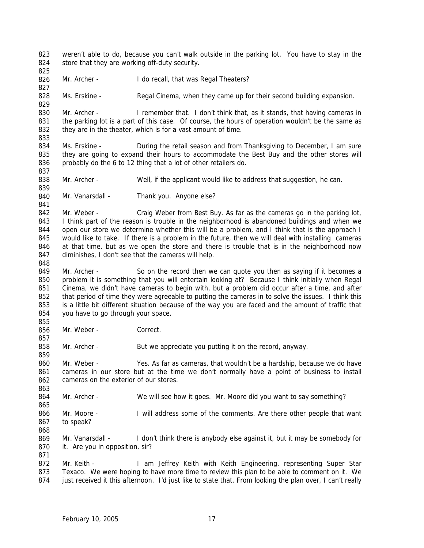823 824 weren't able to do, because you can't walk outside in the parking lot. You have to stay in the store that they are working off-duty security.

826 Mr. Archer - I do recall, that was Regal Theaters?

828 Ms. Erskine - Regal Cinema, when they came up for their second building expansion.

830 831 832 833 Mr. Archer - I remember that. I don't think that, as it stands, that having cameras in the parking lot is a part of this case. Of course, the hours of operation wouldn't be the same as they are in the theater, which is for a vast amount of time.

834 835 836 Ms. Erskine - During the retail season and from Thanksgiving to December, I am sure they are going to expand their hours to accommodate the Best Buy and the other stores will probably do the 6 to 12 thing that a lot of other retailers do.

838 Mr. Archer - Well, if the applicant would like to address that suggestion, he can.

840 Mr. Vanarsdall - Thank you. Anyone else?

842 843 844 845 846 847 Mr. Weber - Craig Weber from Best Buy. As far as the cameras go in the parking lot, I think part of the reason is trouble in the neighborhood is abandoned buildings and when we open our store we determine whether this will be a problem, and I think that is the approach I would like to take. If there is a problem in the future, then we will deal with installing cameras at that time, but as we open the store and there is trouble that is in the neighborhood now diminishes, I don't see that the cameras will help.

849 850 851 852 853 854 Mr. Archer - So on the record then we can quote you then as saying if it becomes a problem it is something that you will entertain looking at? Because I think initially when Regal Cinema, we didn't have cameras to begin with, but a problem did occur after a time, and after that period of time they were agreeable to putting the cameras in to solve the issues. I think this is a little bit different situation because of the way you are faced and the amount of traffic that you have to go through your space.

856 Mr. Weber - Correct.

858 Mr. Archer - But we appreciate you putting it on the record, anyway.

860 861 862 Mr. Weber - Yes. As far as cameras, that wouldn't be a hardship, because we do have cameras in our store but at the time we don't normally have a point of business to install cameras on the exterior of our stores.

864 Mr. Archer - We will see how it goes. Mr. Moore did you want to say something?

865 866 867 Mr. Moore - I will address some of the comments. Are there other people that want to speak?

868

825

827

829

837

839

841

848

855

857

859

863

869 870 871 Mr. Vanarsdall - I don't think there is anybody else against it, but it may be somebody for it. Are you in opposition, sir?

872 873 874 Mr. Keith - I am Jeffrey Keith with Keith Engineering, representing Super Star Texaco. We were hoping to have more time to review this plan to be able to comment on it. We just received it this afternoon. I'd just like to state that. From looking the plan over, I can't really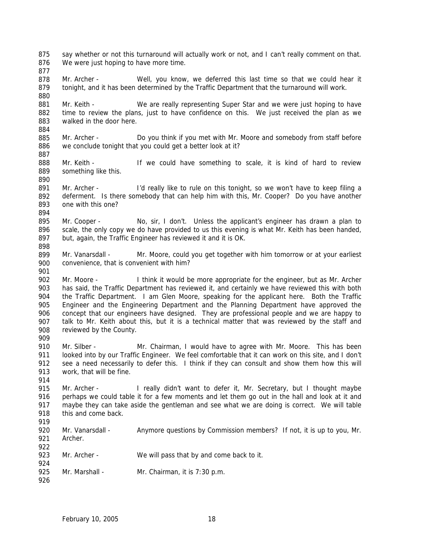875 876 877 say whether or not this turnaround will actually work or not, and I can't really comment on that. We were just hoping to have more time.

878 879 880 Mr. Archer - Well, you know, we deferred this last time so that we could hear it tonight, and it has been determined by the Traffic Department that the turnaround will work.

881 882 883 884 Mr. Keith - We are really representing Super Star and we were just hoping to have time to review the plans, just to have confidence on this. We just received the plan as we walked in the door here.

- 885 886 Mr. Archer - Do you think if you met with Mr. Moore and somebody from staff before we conclude tonight that you could get a better look at it?
- 888 889 Mr. Keith - If we could have something to scale, it is kind of hard to review something like this.
- 891 892 893 Mr. Archer - I'd really like to rule on this tonight, so we won't have to keep filing a deferment. Is there somebody that can help him with this, Mr. Cooper? Do you have another one with this one?
- 895 896 897 Mr. Cooper - No, sir, I don't. Unless the applicant's engineer has drawn a plan to scale, the only copy we do have provided to us this evening is what Mr. Keith has been handed, but, again, the Traffic Engineer has reviewed it and it is OK.
- 899 900 Mr. Vanarsdall - Mr. Moore, could you get together with him tomorrow or at your earliest convenience, that is convenient with him?
- 902 903 904 905 906 907 908 Mr. Moore - I think it would be more appropriate for the engineer, but as Mr. Archer has said, the Traffic Department has reviewed it, and certainly we have reviewed this with both the Traffic Department. I am Glen Moore, speaking for the applicant here. Both the Traffic Engineer and the Engineering Department and the Planning Department have approved the concept that our engineers have designed. They are professional people and we are happy to talk to Mr. Keith about this, but it is a technical matter that was reviewed by the staff and reviewed by the County.
- 910 911 912 913 Mr. Silber - Mr. Chairman, I would have to agree with Mr. Moore. This has been looked into by our Traffic Engineer. We feel comfortable that it can work on this site, and I don't see a need necessarily to defer this. I think if they can consult and show them how this will work, that will be fine.
- 914

909

887

890

894

898

901

915 916 917 918 Mr. Archer - I really didn't want to defer it, Mr. Secretary, but I thought maybe perhaps we could table it for a few moments and let them go out in the hall and look at it and maybe they can take aside the gentleman and see what we are doing is correct. We will table this and come back.

- 919 920 921 922 923 924 925 Mr. Vanarsdall - Anymore questions by Commission members? If not, it is up to you, Mr. Archer. Mr. Archer - We will pass that by and come back to it. Mr. Marshall - Mr. Chairman, it is 7:30 p.m.
- 926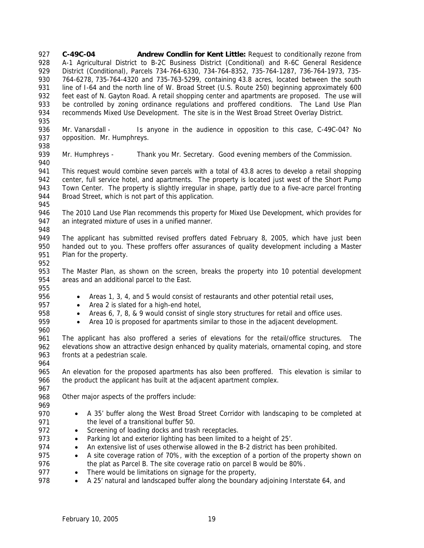**C-49C-04 Andrew Condlin for Kent Little:** Request to conditionally rezone from A-1 Agricultural District to B-2C Business District (Conditional) and R-6C General Residence District (Conditional), Parcels 734-764-6330, 734-764-8352, 735-764-1287, 736-764-1973, 735- 764-6278, 735-764-4320 and 735-763-5299, containing 43.8 acres, located between the south line of I-64 and the north line of W. Broad Street (U.S. Route 250) beginning approximately 600 feet east of N. Gayton Road. A retail shopping center and apartments are proposed. The use will be controlled by zoning ordinance regulations and proffered conditions. The Land Use Plan recommends Mixed Use Development. The site is in the West Broad Street Overlay District. 927 928 929 930 931 932 933 934 935

936 937 Mr. Vanarsdall - Is anyone in the audience in opposition to this case, C-49C-04? No opposition. Mr. Humphreys.

939 Mr. Humphreys - Thank you Mr. Secretary. Good evening members of the Commission.

941 942 943 944 This request would combine seven parcels with a total of 43.8 acres to develop a retail shopping center, full service hotel, and apartments. The property is located just west of the Short Pump Town Center. The property is slightly irregular in shape, partly due to a five-acre parcel fronting Broad Street, which is not part of this application.

946 947 The 2010 Land Use Plan recommends this property for Mixed Use Development, which provides for an integrated mixture of uses in a unified manner.

948

945

938

940

949 950 951 The applicant has submitted revised proffers dated February 8, 2005, which have just been handed out to you. These proffers offer assurances of quality development including a Master Plan for the property.

952

953 954 The Master Plan, as shown on the screen, breaks the property into 10 potential development areas and an additional parcel to the East.

955 956

- Areas 1, 3, 4, and 5 would consist of restaurants and other potential retail uses,
- Area 2 is slated for a high-end hotel,
- Areas 6, 7, 8, & 9 would consist of single story structures for retail and office uses.
- Area 10 is proposed for apartments similar to those in the adjacent development.

961 962 963 964 The applicant has also proffered a series of elevations for the retail/office structures. The elevations show an attractive design enhanced by quality materials, ornamental coping, and store fronts at a pedestrian scale.

965 966 An elevation for the proposed apartments has also been proffered. This elevation is similar to the product the applicant has built at the adjacent apartment complex.

967 968 Other major aspects of the proffers include:

969 970

971

• A 35' buffer along the West Broad Street Corridor with landscaping to be completed at the level of a transitional buffer 50.

- 972 • Screening of loading docks and trash receptacles.
- 973 • Parking lot and exterior lighting has been limited to a height of 25'.
- 974 • An extensive list of uses otherwise allowed in the B-2 district has been prohibited.
- 975 976 • A site coverage ration of 70%, with the exception of a portion of the property shown on the plat as Parcel B. The site coverage ratio on parcel B would be 80%.
- 977 • There would be limitations on signage for the property,
- 978 • A 25' natural and landscaped buffer along the boundary adjoining Interstate 64, and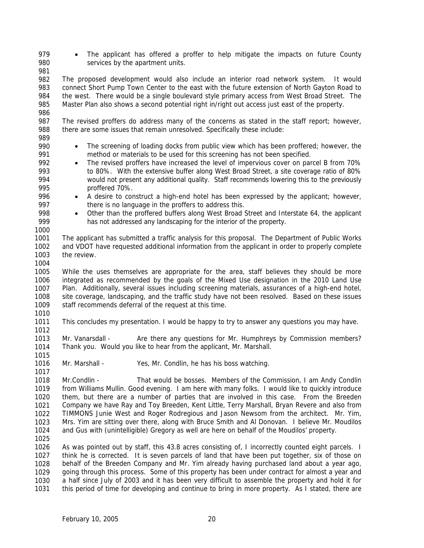- 979 980 • The applicant has offered a proffer to help mitigate the impacts on future County services by the apartment units.
- 981

996 997

1000

982 983 984 985 986 The proposed development would also include an interior road network system. It would connect Short Pump Town Center to the east with the future extension of North Gayton Road to the west. There would be a single boulevard style primary access from West Broad Street. The Master Plan also shows a second potential right in/right out access just east of the property.

987 988 The revised proffers do address many of the concerns as stated in the staff report; however, there are some issues that remain unresolved. Specifically these include:

- 989 990 991 • The screening of loading docks from public view which has been proffered; however, the method or materials to be used for this screening has not been specified.
- 992 993 994 995 • The revised proffers have increased the level of impervious cover on parcel B from 70% to 80%. With the extensive buffer along West Broad Street, a site coverage ratio of 80% would not present any additional quality. Staff recommends lowering this to the previously proffered 70%.
	- A desire to construct a high-end hotel has been expressed by the applicant; however, there is no language in the proffers to address this.
- 998 999 • Other than the proffered buffers along West Broad Street and Interstate 64, the applicant has not addressed any landscaping for the interior of the property.
- 1001 1002 1003 1004 The applicant has submitted a traffic analysis for this proposal. The Department of Public Works and VDOT have requested additional information from the applicant in order to properly complete the review.
- 1005 1006 1007 1008 1009 1010 While the uses themselves are appropriate for the area, staff believes they should be more integrated as recommended by the goals of the Mixed Use designation in the 2010 Land Use Plan. Additionally, several issues including screening materials, assurances of a high-end hotel, site coverage, landscaping, and the traffic study have not been resolved. Based on these issues staff recommends deferral of the request at this time.
- 1011 This concludes my presentation. I would be happy to try to answer any questions you may have.
- 1012 1013 1014 Mr. Vanarsdall - Are there any questions for Mr. Humphreys by Commission members? Thank you. Would you like to hear from the applicant, Mr. Marshall.
- 1016 Mr. Marshall - Yes, Mr. Condlin, he has his boss watching.
- 1018 1019 1020 1021 1022 1023 1024 Mr.Condlin - That would be bosses. Members of the Commission, I am Andy Condlin from Williams Mullin. Good evening. I am here with many folks. I would like to quickly introduce them, but there are a number of parties that are involved in this case. From the Breeden Company we have Ray and Toy Breeden, Kent Little, Terry Marshall, Bryan Revere and also from TIMMONS Junie West and Roger Rodregious and Jason Newsom from the architect. Mr. Yim, Mrs. Yim are sitting over there, along with Bruce Smith and Al Donovan. I believe Mr. Moudilos and Gus with (unintelligible) Gregory as well are here on behalf of the Moudilos' property.
- 1025

1015

1017

1026 1027 1028 1029 1030 1031 As was pointed out by staff, this 43.8 acres consisting of, I incorrectly counted eight parcels. I think he is corrected. It is seven parcels of land that have been put together, six of those on behalf of the Breeden Company and Mr. Yim already having purchased land about a year ago, going through this process. Some of this property has been under contract for almost a year and a half since July of 2003 and it has been very difficult to assemble the property and hold it for this period of time for developing and continue to bring in more property. As I stated, there are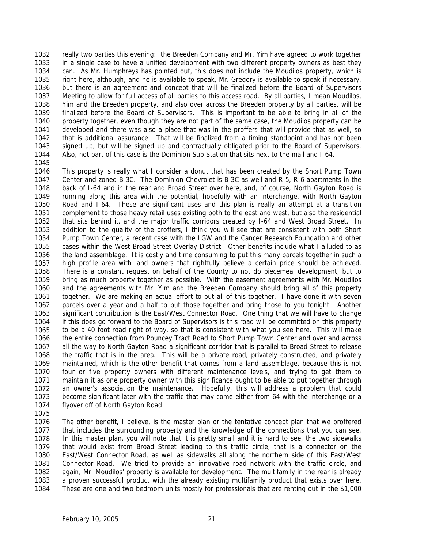1032 1033 1034 1035 1036 1037 1038 1039 1040 1041 1042 1043 1044 really two parties this evening: the Breeden Company and Mr. Yim have agreed to work together in a single case to have a unified development with two different property owners as best they can. As Mr. Humphreys has pointed out, this does not include the Moudilos property, which is right here, although, and he is available to speak, Mr. Gregory is available to speak if necessary, but there is an agreement and concept that will be finalized before the Board of Supervisors Meeting to allow for full access of all parties to this access road. By all parties, I mean Moudilos, Yim and the Breeden property, and also over across the Breeden property by all parties, will be finalized before the Board of Supervisors. This is important to be able to bring in all of the property together, even though they are not part of the same case, the Moudilos property can be developed and there was also a place that was in the proffers that will provide that as well, so that is additional assurance. That will be finalized from a timing standpoint and has not been signed up, but will be signed up and contractually obligated prior to the Board of Supervisors. Also, not part of this case is the Dominion Sub Station that sits next to the mall and I-64.

1045

1046 1047 1048 1049 1050 1051 1052 1053 1054 1055 1056 1057 1058 1059 1060 1061 1062 1063 1064 1065 1066 1067 1068 1069 1070 1071 1072 1073 1074 This property is really what I consider a donut that has been created by the Short Pump Town Center and zoned B-3C. The Dominion Chevrolet is B-3C as well and R-5, R-6 apartments in the back of I-64 and in the rear and Broad Street over here, and, of course, North Gayton Road is running along this area with the potential, hopefully with an interchange, with North Gayton Road and I-64. These are significant uses and this plan is really an attempt at a transition complement to those heavy retail uses existing both to the east and west, but also the residential that sits behind it, and the major traffic corridors created by I-64 and West Broad Street. In addition to the quality of the proffers, I think you will see that are consistent with both Short Pump Town Center, a recent case with the LGW and the Cancer Research Foundation and other cases within the West Broad Street Overlay District. Other benefits include what I alluded to as the land assemblage. It is costly and time consuming to put this many parcels together in such a high profile area with land owners that rightfully believe a certain price should be achieved. There is a constant request on behalf of the County to not do piecemeal development, but to bring as much property together as possible. With the easement agreements with Mr. Moudilos and the agreements with Mr. Yim and the Breeden Company should bring all of this property together. We are making an actual effort to put all of this together. I have done it with seven parcels over a year and a half to put those together and bring those to you tonight. Another significant contribution is the East/West Connector Road. One thing that we will have to change if this does go forward to the Board of Supervisors is this road will be committed on this property to be a 40 foot road right of way, so that is consistent with what you see here. This will make the entire connection from Pouncey Tract Road to Short Pump Town Center and over and across all the way to North Gayton Road a significant corridor that is parallel to Broad Street to release the traffic that is in the area. This will be a private road, privately constructed, and privately maintained, which is the other benefit that comes from a land assemblage, because this is not four or five property owners with different maintenance levels, and trying to get them to maintain it as one property owner with this significance ought to be able to put together through an owner's association the maintenance. Hopefully, this will address a problem that could become significant later with the traffic that may come either from 64 with the interchange or a flyover off of North Gayton Road.

1075

1076 1077 1078 1079 1080 1081 1082 1083 1084 The other benefit, I believe, is the master plan or the tentative concept plan that we proffered that includes the surrounding property and the knowledge of the connections that you can see. In this master plan, you will note that it is pretty small and it is hard to see, the two sidewalks that would exist from Broad Street leading to this traffic circle, that is a connector on the East/West Connector Road, as well as sidewalks all along the northern side of this East/West Connector Road. We tried to provide an innovative road network with the traffic circle, and again, Mr. Moudilos' property is available for development. The multifamily in the rear is already a proven successful product with the already existing multifamily product that exists over here. These are one and two bedroom units mostly for professionals that are renting out in the \$1,000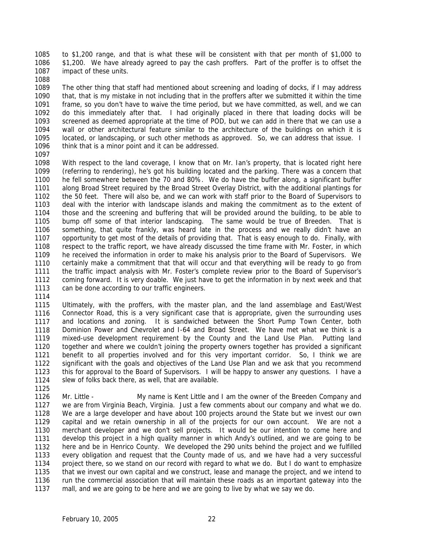1085 1086 1087 to \$1,200 range, and that is what these will be consistent with that per month of \$1,000 to \$1,200. We have already agreed to pay the cash proffers. Part of the proffer is to offset the impact of these units.

1088

1089 1090 1091 1092 1093 1094 1095 1096 The other thing that staff had mentioned about screening and loading of docks, if I may address that, that is my mistake in not including that in the proffers after we submitted it within the time frame, so you don't have to waive the time period, but we have committed, as well, and we can do this immediately after that. I had originally placed in there that loading docks will be screened as deemed appropriate at the time of POD, but we can add in there that we can use a wall or other architectural feature similar to the architecture of the buildings on which it is located, or landscaping, or such other methods as approved. So, we can address that issue. I think that is a minor point and it can be addressed.

1097

1125

1098 1099 1100 1101 1102 1103 1104 1105 1106 1107 1108 1109 1110 1111 1112 1113 1114 With respect to the land coverage, I know that on Mr. Ian's property, that is located right here (referring to rendering), he's got his building located and the parking. There was a concern that he fell somewhere between the 70 and 80%. We do have the buffer along, a significant buffer along Broad Street required by the Broad Street Overlay District, with the additional plantings for the 50 feet. There will also be, and we can work with staff prior to the Board of Supervisors to deal with the interior with landscape islands and making the commitment as to the extent of those and the screening and buffering that will be provided around the building, to be able to bump off some of that interior landscaping. The same would be true of Breeden. That is something, that quite frankly, was heard late in the process and we really didn't have an opportunity to get most of the details of providing that. That is easy enough to do. Finally, with respect to the traffic report, we have already discussed the time frame with Mr. Foster, in which he received the information in order to make his analysis prior to the Board of Supervisors. We certainly make a commitment that that will occur and that everything will be ready to go from the traffic impact analysis with Mr. Foster's complete review prior to the Board of Supervisor's coming forward. It is very doable. We just have to get the information in by next week and that can be done according to our traffic engineers.

1115 1116 1117 1118 1119 1120 1121 1122 1123 1124 Ultimately, with the proffers, with the master plan, and the land assemblage and East/West Connector Road, this is a very significant case that is appropriate, given the surrounding uses and locations and zoning. It is sandwiched between the Short Pump Town Center, both Dominion Power and Chevrolet and I-64 and Broad Street. We have met what we think is a mixed-use development requirement by the County and the Land Use Plan. Putting land together and where we couldn't joining the property owners together has provided a significant benefit to all properties involved and for this very important corridor. So, I think we are significant with the goals and objectives of the Land Use Plan and we ask that you recommend this for approval to the Board of Supervisors. I will be happy to answer any questions. I have a slew of folks back there, as well, that are available.

1126 1127 1128 1129 1130 1131 1132 1133 1134 1135 1136 1137 Mr. Little - My name is Kent Little and I am the owner of the Breeden Company and we are from Virginia Beach, Virginia. Just a few comments about our company and what we do. We are a large developer and have about 100 projects around the State but we invest our own capital and we retain ownership in all of the projects for our own account. We are not a merchant developer and we don't sell projects. It would be our intention to come here and develop this project in a high quality manner in which Andy's outlined, and we are going to be here and be in Henrico County. We developed the 290 units behind the project and we fulfilled every obligation and request that the County made of us, and we have had a very successful project there, so we stand on our record with regard to what we do. But I do want to emphasize that we invest our own capital and we construct, lease and manage the project, and we intend to run the commercial association that will maintain these roads as an important gateway into the mall, and we are going to be here and we are going to live by what we say we do.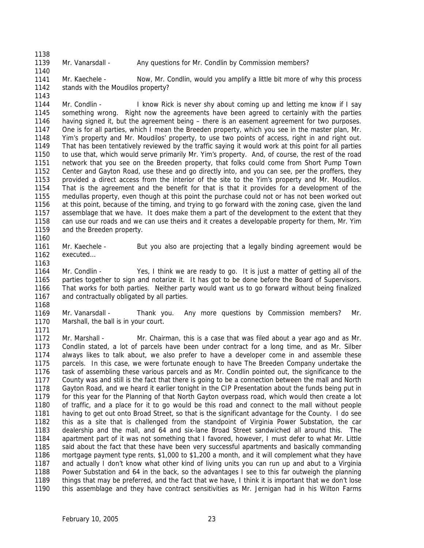1139 Mr. Vanarsdall - Any questions for Mr. Condlin by Commission members?

1141 1142 1143 Mr. Kaechele - Now, Mr. Condlin, would you amplify a little bit more of why this process stands with the Moudilos property?

1144 1145 1146 1147 1148 1149 1150 1151 1152 1153 1154 1155 1156 1157 1158 1159 Mr. Condlin - I know Rick is never shy about coming up and letting me know if I say something wrong. Right now the agreements have been agreed to certainly with the parties having signed it, but the agreement being – there is an easement agreement for two purposes. One is for all parties, which I mean the Breeden property, which you see in the master plan, Mr. Yim's property and Mr. Moudilos' property, to use two points of access, right in and right out. That has been tentatively reviewed by the traffic saying it would work at this point for all parties to use that, which would serve primarily Mr. Yim's property. And, of course, the rest of the road network that you see on the Breeden property, that folks could come from Short Pump Town Center and Gayton Road, use these and go directly into, and you can see, per the proffers, they provided a direct access from the interior of the site to the Yim's property and Mr. Moudilos. That is the agreement and the benefit for that is that it provides for a development of the medullas property, even though at this point the purchase could not or has not been worked out at this point, because of the timing, and trying to go forward with the zoning case, given the land assemblage that we have. It does make them a part of the development to the extent that they can use our roads and we can use theirs and it creates a developable property for them, Mr. Yim and the Breeden property.

1161 1162 Mr. Kaechele - But you also are projecting that a legally binding agreement would be executed…

1164 1165 1166 1167 Mr. Condlin - Yes, I think we are ready to go. It is just a matter of getting all of the parties together to sign and notarize it. It has got to be done before the Board of Supervisors. That works for both parties. Neither party would want us to go forward without being finalized and contractually obligated by all parties.

1168

1171

1160

1163

1138

1140

1169 1170 Mr. Vanarsdall - Thank you. Any more questions by Commission members? Mr. Marshall, the ball is in your court.

1172 1173 1174 1175 1176 1177 1178 1179 1180 1181 1182 1183 1184 1185 1186 1187 1188 1189 1190 Mr. Marshall - Mr. Chairman, this is a case that was filed about a year ago and as Mr. Condlin stated, a lot of parcels have been under contract for a long time, and as Mr. Silber always likes to talk about, we also prefer to have a developer come in and assemble these parcels. In this case, we were fortunate enough to have The Breeden Company undertake the task of assembling these various parcels and as Mr. Condlin pointed out, the significance to the County was and still is the fact that there is going to be a connection between the mall and North Gayton Road, and we heard it earlier tonight in the CIP Presentation about the funds being put in for this year for the Planning of that North Gayton overpass road, which would then create a lot of traffic, and a place for it to go would be this road and connect to the mall without people having to get out onto Broad Street, so that is the significant advantage for the County. I do see this as a site that is challenged from the standpoint of Virginia Power Substation, the car dealership and the mall, and 64 and six-lane Broad Street sandwiched all around this. The apartment part of it was not something that I favored, however, I must defer to what Mr. Little said about the fact that these have been very successful apartments and basically commanding mortgage payment type rents, \$1,000 to \$1,200 a month, and it will complement what they have and actually I don't know what other kind of living units you can run up and abut to a Virginia Power Substation and 64 in the back, so the advantages I see to this far outweigh the planning things that may be preferred, and the fact that we have, I think it is important that we don't lose this assemblage and they have contract sensitivities as Mr. Jernigan had in his Wilton Farms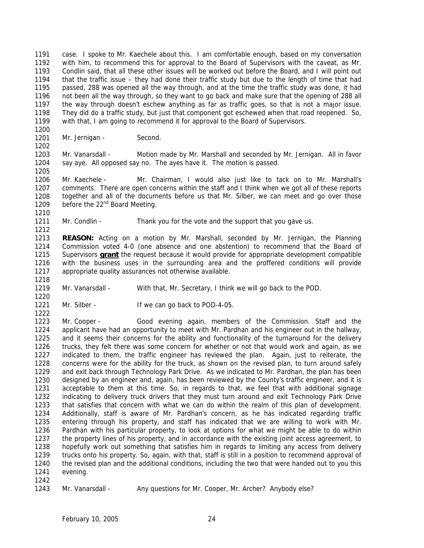1191 1192 1193 1194 1195 1196 1197 1198 1199 case. I spoke to Mr. Kaechele about this. I am comfortable enough, based on my conversation with him, to recommend this for approval to the Board of Supervisors with the caveat, as Mr. Condlin said, that all these other issues will be worked out before the Board, and I will point out that the traffic issue – they had done their traffic study but due to the length of time that had passed, 288 was opened all the way through, and at the time the traffic study was done, it had not been all the way through, so they want to go back and make sure that the opening of 288 all the way through doesn't eschew anything as far as traffic goes, so that is not a major issue. They did do a traffic study, but just that component got eschewed when that road reopened. So, with that, I am going to recommend it for approval to the Board of Supervisors.

1201 Mr. Jernigan - Second.

1203 1204 1205 Mr. Vanarsdall - Motion made by Mr. Marshall and seconded by Mr. Jernigan. All in favor say aye. All opposed say no. The ayes have it. The motion is passed.

1206 1207 1208 1209 1210 Mr. Kaechele - Mr. Chairman, I would also just like to tack on to Mr. Marshall's comments. There are open concerns within the staff and I think when we got all of these reports together and all of the documents before us that Mr. Silber, we can meet and go over those before the 22<sup>nd</sup> Board Meeting.

1211 1212 Mr. Condlin - Thank you for the vote and the support that you gave us.

1213 1214 **REASON:** Acting on a motion by Mr. Marshall, seconded by Mr. Jernigan, the Planning Commission voted 4-0 (one absence and one abstention) to recommend that the Board of Supervisors **grant** the request because it would provide for appropriate development compatible with the business uses in the surrounding area and the proffered conditions will provide appropriate quality assurances not otherwise available. 1215 1216 1217

- 1219 Mr. Vanarsdall - With that, Mr. Secretary, I think we will go back to the POD.
- 1220 1221 1222

1218

1200

1202

Mr. Silber - If we can go back to POD-4-05.

1223 1224 1225 1226 1227 1228 1229 1230 1231 1232 1233 1234 1235 1236 1237 1238 1239 1240 1241 1242 Mr. Cooper - Good evening again, members of the Commission. Staff and the applicant have had an opportunity to meet with Mr. Pardhan and his engineer out in the hallway, and it seems their concerns for the ability and functionality of the turnaround for the delivery trucks, they felt there was some concern for whether or not that would work and again, as we indicated to them, the traffic engineer has reviewed the plan. Again, just to reiterate, the concerns were for the ability for the truck, as shown on the revised plan, to turn around safely and exit back through Technology Park Drive. As we indicated to Mr. Pardhan, the plan has been designed by an engineer and, again, has been reviewed by the County's traffic engineer, and it is acceptable to them at this time. So, in regards to that, we feel that with additional signage indicating to delivery truck drivers that they must turn around and exit Technology Park Drive that satisfies that concern with what we can do within the realm of this plan of development. Additionally, staff is aware of Mr. Pardhan's concern, as he has indicated regarding traffic entering through his property, and staff has indicated that we are willing to work with Mr. Pardhan with his particular property, to look at options for what we might be able to do within the property lines of his property, and in accordance with the existing joint access agreement, to hopefully work out something that satisfies him in regards to limiting any access from delivery trucks onto his property. So, again, with that, staff is still in a position to recommend approval of the revised plan and the additional conditions, including the two that were handed out to you this evening.

```
1243 
Mr. Vanarsdall - Any questions for Mr. Cooper, Mr. Archer? Anybody else?
```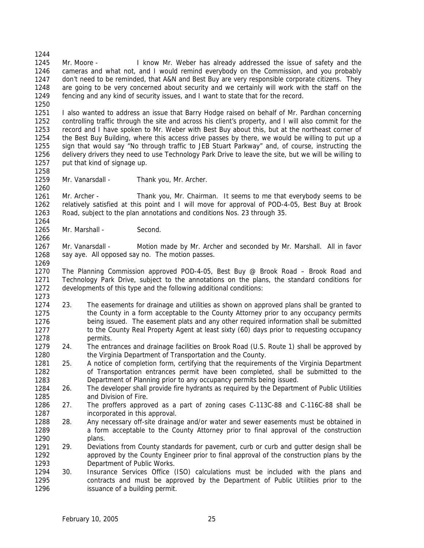1244 1245 1246 1247 1248 1249 1250 Mr. Moore - I know Mr. Weber has already addressed the issue of safety and the cameras and what not, and I would remind everybody on the Commission, and you probably don't need to be reminded, that A&N and Best Buy are very responsible corporate citizens. They are going to be very concerned about security and we certainly will work with the staff on the fencing and any kind of security issues, and I want to state that for the record.

1251 1252 1253 1254 1255 1256 1257 I also wanted to address an issue that Barry Hodge raised on behalf of Mr. Pardhan concerning controlling traffic through the site and across his client's property, and I will also commit for the record and I have spoken to Mr. Weber with Best Buy about this, but at the northeast corner of the Best Buy Building, where this access drive passes by there, we would be willing to put up a sign that would say "No through traffic to JEB Stuart Parkway" and, of course, instructing the delivery drivers they need to use Technology Park Drive to leave the site, but we will be willing to put that kind of signage up.

1258 1259 1260

1266

Mr. Vanarsdall - Thank you, Mr. Archer.

1261 1262 1263 1264 Mr. Archer - Thank you, Mr. Chairman. It seems to me that everybody seems to be relatively satisfied at this point and I will move for approval of POD-4-05, Best Buy at Brook Road, subject to the plan annotations and conditions Nos. 23 through 35.

1265 Mr. Marshall - Second.

1267 1268 1269 Mr. Vanarsdall - Motion made by Mr. Archer and seconded by Mr. Marshall. All in favor say aye. All opposed say no. The motion passes.

1270 1271 1272 1273 The Planning Commission approved POD-4-05, Best Buy @ Brook Road – Brook Road and Technology Park Drive, subject to the annotations on the plans, the standard conditions for developments of this type and the following additional conditions:

- 1274 1275 1276 1277 1278 23. The easements for drainage and utilities as shown on approved plans shall be granted to the County in a form acceptable to the County Attorney prior to any occupancy permits being issued. The easement plats and any other required information shall be submitted to the County Real Property Agent at least sixty (60) days prior to requesting occupancy permits.
- 1279 1280 24. The entrances and drainage facilities on Brook Road (U.S. Route 1) shall be approved by the Virginia Department of Transportation and the County.
- 1281 1282 1283 25. A notice of completion form, certifying that the requirements of the Virginia Department of Transportation entrances permit have been completed, shall be submitted to the Department of Planning prior to any occupancy permits being issued.
- 1284 1285 26. The developer shall provide fire hydrants as required by the Department of Public Utilities and Division of Fire.
- 1286 1287 27. The proffers approved as a part of zoning cases C-113C-88 and C-116C-88 shall be incorporated in this approval.
- 1288 1289 1290 28. Any necessary off-site drainage and/or water and sewer easements must be obtained in a form acceptable to the County Attorney prior to final approval of the construction plans.
- 1291 1292 1293 29. Deviations from County standards for pavement, curb or curb and gutter design shall be approved by the County Engineer prior to final approval of the construction plans by the Department of Public Works.
- 1294 1295 1296 30. Insurance Services Office (ISO) calculations must be included with the plans and contracts and must be approved by the Department of Public Utilities prior to the issuance of a building permit.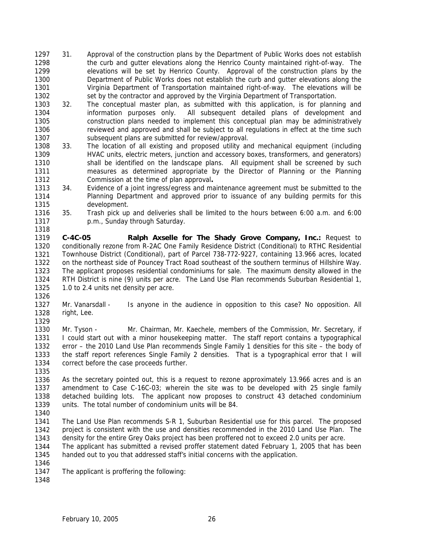- 1297 1298 1299 1300 1301 1302 31. Approval of the construction plans by the Department of Public Works does not establish the curb and gutter elevations along the Henrico County maintained right-of-way. The elevations will be set by Henrico County. Approval of the construction plans by the Department of Public Works does not establish the curb and gutter elevations along the Virginia Department of Transportation maintained right-of-way. The elevations will be set by the contractor and approved by the Virginia Department of Transportation.
- 1303 1304 1305 1306 1307 32. The conceptual master plan, as submitted with this application, is for planning and information purposes only. All subsequent detailed plans of development and construction plans needed to implement this conceptual plan may be administratively reviewed and approved and shall be subject to all regulations in effect at the time such subsequent plans are submitted for review/approval.
- 1308 1309 1310 1311 1312 33. The location of all existing and proposed utility and mechanical equipment (including HVAC units, electric meters, junction and accessory boxes, transformers, and generators) shall be identified on the landscape plans. All equipment shall be screened by such measures as determined appropriate by the Director of Planning or the Planning Commission at the time of plan approval**.**
- 1313 1314 1315 34. Evidence of a joint ingress/egress and maintenance agreement must be submitted to the Planning Department and approved prior to issuance of any building permits for this development.
- 1316 1317 1318 35. Trash pick up and deliveries shall be limited to the hours between 6:00 a.m. and 6:00 p.m., Sunday through Saturday.

1319 1320 1321 1322 1323 1324 1325 1326 **C-4C-05 Ralph Axselle for The Shady Grove Company, Inc.:** Request to conditionally rezone from R-2AC One Family Residence District (Conditional) to RTHC Residential Townhouse District (Conditional), part of Parcel 738-772-9227, containing 13.966 acres, located on the northeast side of Pouncey Tract Road southeast of the southern terminus of Hillshire Way. The applicant proposes residential condominiums for sale. The maximum density allowed in the RTH District is nine (9) units per acre. The Land Use Plan recommends Suburban Residential 1, 1.0 to 2.4 units net density per acre.

1327 1328 Mr. Vanarsdall - Is anyone in the audience in opposition to this case? No opposition. All right, Lee.

1329

1330 1331 1332 1333 1334 Mr. Tyson - Mr. Chairman, Mr. Kaechele, members of the Commission, Mr. Secretary, if I could start out with a minor housekeeping matter. The staff report contains a typographical error – the 2010 Land Use Plan recommends Single Family 1 densities for this site – the body of the staff report references Single Family 2 densities. That is a typographical error that I will correct before the case proceeds further.

1336 1337 1338 1339 As the secretary pointed out, this is a request to rezone approximately 13.966 acres and is an amendment to Case C-16C-03; wherein the site was to be developed with 25 single family detached building lots. The applicant now proposes to construct 43 detached condominium units. The total number of condominium units will be 84.

1340

1335

1341 1342 1343 The Land Use Plan recommends S-R 1, Suburban Residential use for this parcel. The proposed project is consistent with the use and densities recommended in the 2010 Land Use Plan. The density for the entire Grey Oaks project has been proffered not to exceed 2.0 units per acre.

1344 1345 The applicant has submitted a revised proffer statement dated February 1, 2005 that has been handed out to you that addressed staff's initial concerns with the application.

1346

1347 The applicant is proffering the following:

1348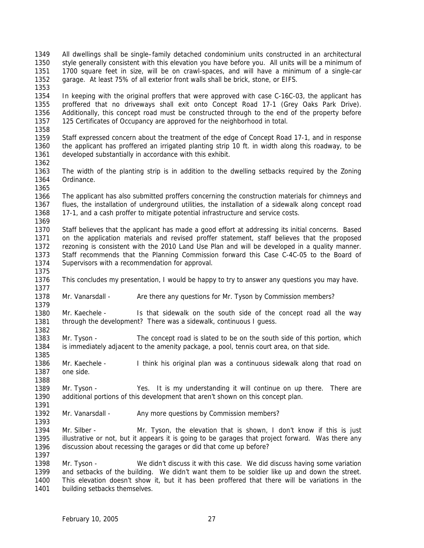- 1349 1350 1351 1352 All dwellings shall be single–family detached condominium units constructed in an architectural style generally consistent with this elevation you have before you. All units will be a minimum of 1700 square feet in size, will be on crawl-spaces, and will have a minimum of a single-car garage. At least 75% of all exterior front walls shall be brick, stone, or EIFS.
- 1353

1354 1355 1356 1357 1358 In keeping with the original proffers that were approved with case C-16C-03, the applicant has proffered that no driveways shall exit onto Concept Road 17-1 (Grey Oaks Park Drive). Additionally, this concept road must be constructed through to the end of the property before 125 Certificates of Occupancy are approved for the neighborhood in total.

1359 1360 1361 Staff expressed concern about the treatment of the edge of Concept Road 17-1, and in response the applicant has proffered an irrigated planting strip 10 ft. in width along this roadway, to be developed substantially in accordance with this exhibit.

1362

1375

1379

1382

1385

1388

1393

1397

1363 1364 1365 The width of the planting strip is in addition to the dwelling setbacks required by the Zoning Ordinance.

1366 1367 1368 1369 The applicant has also submitted proffers concerning the construction materials for chimneys and flues, the installation of underground utilities, the installation of a sidewalk along concept road 17-1, and a cash proffer to mitigate potential infrastructure and service costs.

1370 1371 1372 1373 1374 Staff believes that the applicant has made a good effort at addressing its initial concerns. Based on the application materials and revised proffer statement, staff believes that the proposed rezoning is consistent with the 2010 Land Use Plan and will be developed in a quality manner. Staff recommends that the Planning Commission forward this Case C-4C-05 to the Board of Supervisors with a recommendation for approval.

1376 1377 This concludes my presentation, I would be happy to try to answer any questions you may have.

1378 Mr. Vanarsdall - Are there any questions for Mr. Tyson by Commission members?

1380 1381 Mr. Kaechele - Is that sidewalk on the south side of the concept road all the way through the development? There was a sidewalk, continuous I guess.

1383 1384 Mr. Tyson - The concept road is slated to be on the south side of this portion, which is immediately adjacent to the amenity package, a pool, tennis court area, on that side.

1386 1387 Mr. Kaechele - I think his original plan was a continuous sidewalk along that road on one side.

1389 1390 1391 Mr. Tyson - Yes. It is my understanding it will continue on up there. There are additional portions of this development that aren't shown on this concept plan.

1392 Mr. Vanarsdall - Any more questions by Commission members?

1394 1395 1396 Mr. Silber - Mr. Tyson, the elevation that is shown, I don't know if this is just illustrative or not, but it appears it is going to be garages that project forward. Was there any discussion about recessing the garages or did that come up before?

1398 1399 1400 1401 Mr. Tyson - We didn't discuss it with this case. We did discuss having some variation and setbacks of the building. We didn't want them to be soldier like up and down the street. This elevation doesn't show it, but it has been proffered that there will be variations in the building setbacks themselves.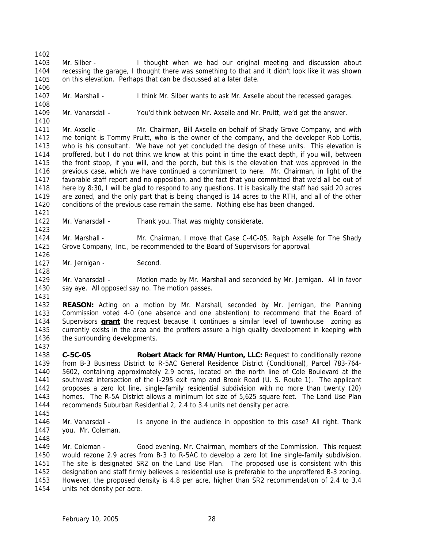1402 1403 1404 1405 Mr. Silber - I thought when we had our original meeting and discussion about recessing the garage, I thought there was something to that and it didn't look like it was shown on this elevation. Perhaps that can be discussed at a later date.

1407 Mr. Marshall - I think Mr. Silber wants to ask Mr. Axselle about the recessed garages.

1408 1409 1410

1406

Mr. Vanarsdall - You'd think between Mr. Axselle and Mr. Pruitt, we'd get the answer.

1411 1412 1413 1414 1415 1416 1417 1418 1419 1420 1421 Mr. Axselle - Mr. Chairman, Bill Axselle on behalf of Shady Grove Company, and with me tonight is Tommy Pruitt, who is the owner of the company, and the developer Rob Loftis, who is his consultant. We have not yet concluded the design of these units. This elevation is proffered, but I do not think we know at this point in time the exact depth, if you will, between the front stoop, if you will, and the porch, but this is the elevation that was approved in the previous case, which we have continued a commitment to here. Mr. Chairman, in light of the favorable staff report and no opposition, and the fact that you committed that we'd all be out of here by 8:30, I will be glad to respond to any questions. It is basically the staff had said 20 acres are zoned, and the only part that is being changed is 14 acres to the RTH, and all of the other conditions of the previous case remain the same. Nothing else has been changed.

1422 Mr. Vanarsdall - Thank you. That was mighty considerate.

1424 1425 Mr. Marshall - Mr. Chairman, I move that Case C-4C-05, Ralph Axselle for The Shady Grove Company, Inc., be recommended to the Board of Supervisors for approval.

1427 Mr. Jernigan - Second.

1429 1430 Mr. Vanarsdall - Motion made by Mr. Marshall and seconded by Mr. Jernigan. All in favor say aye. All opposed say no. The motion passes.

1431

1437

1423

1426

1428

1432 1433 **REASON:** Acting on a motion by Mr. Marshall, seconded by Mr. Jernigan, the Planning Commission voted 4-0 (one absence and one abstention) to recommend that the Board of Supervisors **grant** the request because it continues a similar level of townhouse zoning as currently exists in the area and the proffers assure a high quality development in keeping with the surrounding developments. 1434 1435 1436

1438 1439 1440 1441 1442 1443 1444 **C-5C-05 Robert Atack for RMA/Hunton, LLC:** Request to conditionally rezone from B-3 Business District to R-5AC General Residence District (Conditional), Parcel 783-764- 5602, containing approximately 2.9 acres, located on the north line of Cole Boulevard at the southwest intersection of the I-295 exit ramp and Brook Road (U. S. Route 1). The applicant proposes a zero lot line, single-family residential subdivision with no more than twenty (20) homes. The R-5A District allows a minimum lot size of 5,625 square feet. The Land Use Plan recommends Suburban Residential 2, 2.4 to 3.4 units net density per acre.

1445

1446 1447 Mr. Vanarsdall - Is anyone in the audience in opposition to this case? All right. Thank you. Mr. Coleman.

1448

1449 1450 1451 1452 1453 1454 Mr. Coleman - Good evening, Mr. Chairman, members of the Commission. This request would rezone 2.9 acres from B-3 to R-5AC to develop a zero lot line single-family subdivision. The site is designated SR2 on the Land Use Plan. The proposed use is consistent with this designation and staff firmly believes a residential use is preferable to the unproffered B-3 zoning. However, the proposed density is 4.8 per acre, higher than SR2 recommendation of 2.4 to 3.4 units net density per acre.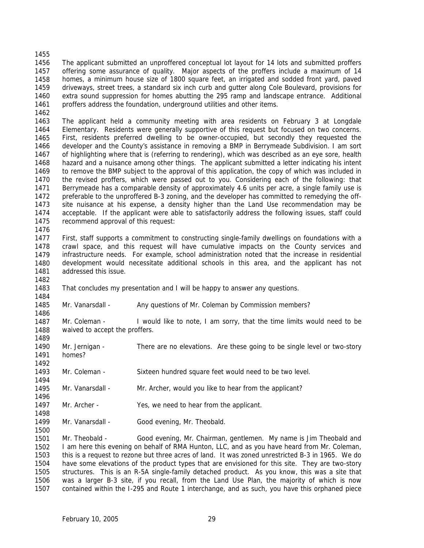1456 1457 1458 1459 1460 1461 1462 The applicant submitted an unproffered conceptual lot layout for 14 lots and submitted proffers offering some assurance of quality. Major aspects of the proffers include a maximum of 14 homes, a minimum house size of 1800 square feet, an irrigated and sodded front yard, paved driveways, street trees, a standard six inch curb and gutter along Cole Boulevard, provisions for extra sound suppression for homes abutting the 295 ramp and landscape entrance. Additional proffers address the foundation, underground utilities and other items.

1463 1464 1465 1466 1467 1468 1469 1470 1471 1472 1473 1474 1475 The applicant held a community meeting with area residents on February 3 at Longdale Elementary. Residents were generally supportive of this request but focused on two concerns. First, residents preferred dwelling to be owner-occupied, but secondly they requested the developer and the County's assistance in removing a BMP in Berrymeade Subdivision. I am sort of highlighting where that is (referring to rendering), which was described as an eye sore, health hazard and a nuisance among other things. The applicant submitted a letter indicating his intent to remove the BMP subject to the approval of this application, the copy of which was included in the revised proffers, which were passed out to you. Considering each of the following: that Berrymeade has a comparable density of approximately 4.6 units per acre, a single family use is preferable to the unproffered B-3 zoning, and the developer has committed to remedying the offsite nuisance at his expense, a density higher than the Land Use recommendation may be acceptable. If the applicant were able to satisfactorily address the following issues, staff could recommend approval of this request:

1476

1482

1484

1489

1492

1494

1496

1498

1500

1455

1477 1478 1479 1480 1481 First, staff supports a commitment to constructing single-family dwellings on foundations with a crawl space, and this request will have cumulative impacts on the County services and infrastructure needs. For example, school administration noted that the increase in residential development would necessitate additional schools in this area, and the applicant has not addressed this issue.

1483 That concludes my presentation and I will be happy to answer any questions.

1485 1486 Mr. Vanarsdall - Any questions of Mr. Coleman by Commission members?

1487 1488 Mr. Coleman - I would like to note, I am sorry, that the time limits would need to be waived to accept the proffers.

- 1490 1491 Mr. Jernigan - There are no elevations. Are these going to be single level or two-story homes?
- 1493 Mr. Coleman - Sixteen hundred square feet would need to be two level.
- 1495 Mr. Vanarsdall - Mr. Archer, would you like to hear from the applicant?
- 1497 Mr. Archer - Yes, we need to hear from the applicant.
- 1499 Mr. Vanarsdall - Good evening, Mr. Theobald.

1501 1502 1503 1504 1505 1506 1507 Mr. Theobald - Good evening, Mr. Chairman, gentlemen. My name is Jim Theobald and I am here this evening on behalf of RMA Hunton, LLC, and as you have heard from Mr. Coleman, this is a request to rezone but three acres of land. It was zoned unrestricted B-3 in 1965. We do have some elevations of the product types that are envisioned for this site. They are two-story structures. This is an R-5A single-family detached product. As you know, this was a site that was a larger B-3 site, if you recall, from the Land Use Plan, the majority of which is now contained within the I-295 and Route 1 interchange, and as such, you have this orphaned piece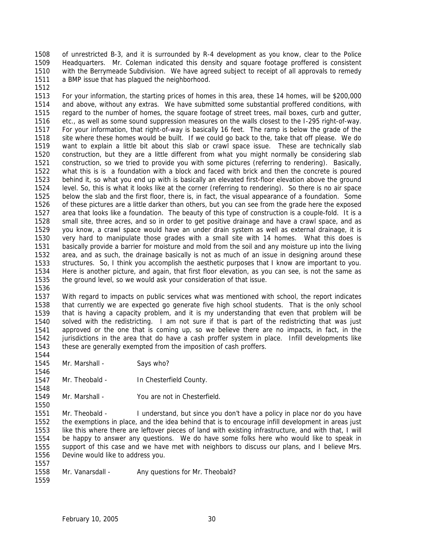1508 1509 1510 1511 of unrestricted B-3, and it is surrounded by R-4 development as you know, clear to the Police Headquarters. Mr. Coleman indicated this density and square footage proffered is consistent with the Berrymeade Subdivision. We have agreed subject to receipt of all approvals to remedy a BMP issue that has plagued the neighborhood.

1513 1514 1515 1516 1517 1518 1519 1520 1521 1522 1523 1524 1525 1526 1527 1528 1529 1530 1531 1532 1533 1534 1535 For your information, the starting prices of homes in this area, these 14 homes, will be \$200,000 and above, without any extras. We have submitted some substantial proffered conditions, with regard to the number of homes, the square footage of street trees, mail boxes, curb and gutter, etc., as well as some sound suppression measures on the walls closest to the I-295 right-of-way. For your information, that right-of-way is basically 16 feet. The ramp is below the grade of the site where these homes would be built. If we could go back to the, take that off please. We do want to explain a little bit about this slab or crawl space issue. These are technically slab construction, but they are a little different from what you might normally be considering slab construction, so we tried to provide you with some pictures (referring to rendering). Basically, what this is is a foundation with a block and faced with brick and then the concrete is poured behind it, so what you end up with is basically an elevated first-floor elevation above the ground level. So, this is what it looks like at the corner (referring to rendering). So there is no air space below the slab and the first floor, there is, in fact, the visual appearance of a foundation. Some of these pictures are a little darker than others, but you can see from the grade here the exposed area that looks like a foundation. The beauty of this type of construction is a couple-fold. It is a small site, three acres, and so in order to get positive drainage and have a crawl space, and as you know, a crawl space would have an under drain system as well as external drainage, it is very hard to manipulate those grades with a small site with 14 homes. What this does is basically provide a barrier for moisture and mold from the soil and any moisture up into the living area, and as such, the drainage basically is not as much of an issue in designing around these structures. So, I think you accomplish the aesthetic purposes that I know are important to you. Here is another picture, and again, that first floor elevation, as you can see, is not the same as the ground level, so we would ask your consideration of that issue.

1536

1544

1546

1550

1512

1537 1538 1539 1540 1541 1542 1543 With regard to impacts on public services what was mentioned with school, the report indicates that currently we are expected go generate five high school students. That is the only school that is having a capacity problem, and it is my understanding that even that problem will be solved with the redistricting. I am not sure if that is part of the redistricting that was just approved or the one that is coming up, so we believe there are no impacts, in fact, in the jurisdictions in the area that do have a cash proffer system in place. Infill developments like these are generally exempted from the imposition of cash proffers.

- 1545 Mr. Marshall - Says who?
- 1547 1548 Mr. Theobald - In Chesterfield County.
- 1549 Mr. Marshall - You are not in Chesterfield.

1551 1552 1553 1554 1555 1556 Mr. Theobald - I understand, but since you don't have a policy in place nor do you have the exemptions in place, and the idea behind that is to encourage infill development in areas just like this where there are leftover pieces of land with existing infrastructure, and with that, I will be happy to answer any questions. We do have some folks here who would like to speak in support of this case and we have met with neighbors to discuss our plans, and I believe Mrs. Devine would like to address you.

1558 Mr. Vanarsdall - Any questions for Mr. Theobald?

1559

1557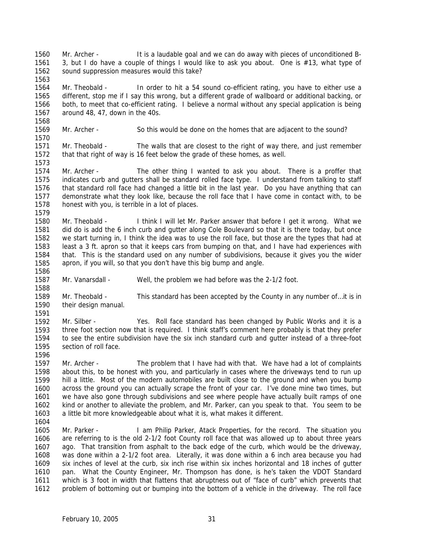1560 1561 1562 Mr. Archer - It is a laudable goal and we can do away with pieces of unconditioned B-3, but I do have a couple of things I would like to ask you about. One is #13, what type of sound suppression measures would this take?

1564 1565 1566 1567 Mr. Theobald - In order to hit a 54 sound co-efficient rating, you have to either use a different, stop me if I say this wrong, but a different grade of wallboard or additional backing, or both, to meet that co-efficient rating. I believe a normal without any special application is being around 48, 47, down in the 40s.

1569 1570 Mr. Archer - So this would be done on the homes that are adjacent to the sound?

1571 1572 Mr. Theobald - The walls that are closest to the right of way there, and just remember that that right of way is 16 feet below the grade of these homes, as well.

1574 1575 1576 1577 1578 Mr. Archer - The other thing I wanted to ask you about. There is a proffer that indicates curb and gutters shall be standard rolled face type. I understand from talking to staff that standard roll face had changed a little bit in the last year. Do you have anything that can demonstrate what they look like, because the roll face that I have come in contact with, to be honest with you, is terrible in a lot of places.

1580 1581 1582 1583 1584 1585 1586 Mr. Theobald - I think I will let Mr. Parker answer that before I get it wrong. What we did do is add the 6 inch curb and gutter along Cole Boulevard so that it is there today, but once we start turning in, I think the idea was to use the roll face, but those are the types that had at least a 3 ft. apron so that it keeps cars from bumping on that, and I have had experiences with that. This is the standard used on any number of subdivisions, because it gives you the wider apron, if you will, so that you don't have this big bump and angle.

1587 Mr. Vanarsdall - Well, the problem we had before was the 2-1/2 foot.

1589 1590 1591 Mr. Theobald - This standard has been accepted by the County in any number of... it is in their design manual.

1592 1593 1594 1595 1596 Mr. Silber - Yes. Roll face standard has been changed by Public Works and it is a three foot section now that is required. I think staff's comment here probably is that they prefer to see the entire subdivision have the six inch standard curb and gutter instead of a three-foot section of roll face.

1597 1598 1599 1600 1601 1602 1603 Mr. Archer - The problem that I have had with that. We have had a lot of complaints about this, to be honest with you, and particularly in cases where the driveways tend to run up hill a little. Most of the modern automobiles are built close to the ground and when you bump across the ground you can actually scrape the front of your car. I've done mine two times, but we have also gone through subdivisions and see where people have actually built ramps of one kind or another to alleviate the problem, and Mr. Parker, can you speak to that. You seem to be a little bit more knowledgeable about what it is, what makes it different.

1605 1606 1607 1608 1609 1610 1611 1612 Mr. Parker - I am Philip Parker, Atack Properties, for the record. The situation you are referring to is the old 2-1/2 foot County roll face that was allowed up to about three years ago. That transition from asphalt to the back edge of the curb, which would be the driveway, was done within a 2-1/2 foot area. Literally, it was done within a 6 inch area because you had six inches of level at the curb, six inch rise within six inches horizontal and 18 inches of gutter pan. What the County Engineer, Mr. Thompson has done, is he's taken the VDOT Standard which is 3 foot in width that flattens that abruptness out of "face of curb" which prevents that problem of bottoming out or bumping into the bottom of a vehicle in the driveway. The roll face

1563

1568

1573

1579

1588

1604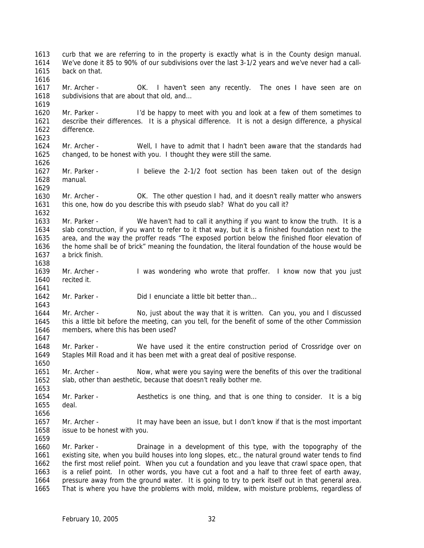1613 1614 1615 1616 1617 1618 1619 1620 1621 1622 1623 1624 1625 1626 1627 1628 1629 1630 1631 1632 1633 1634 1635 1636 1637 1638 1639 1640 1641 1642 1643 1644 1645 1646 1647 1648 1649 1650 1651 1652 1653 1654 1655 1656 1657 1658 1659 1660 1661 1662 1663 1664 1665 curb that we are referring to in the property is exactly what is in the County design manual. We've done it 85 to 90% of our subdivisions over the last 3-1/2 years and we've never had a callback on that. Mr. Archer - OK. I haven't seen any recently. The ones I have seen are on subdivisions that are about that old, and… Mr. Parker - I'd be happy to meet with you and look at a few of them sometimes to describe their differences. It is a physical difference. It is not a design difference, a physical difference. Mr. Archer - Well, I have to admit that I hadn't been aware that the standards had changed, to be honest with you. I thought they were still the same. Mr. Parker - I believe the 2-1/2 foot section has been taken out of the design manual. Mr. Archer - OK. The other question I had, and it doesn't really matter who answers this one, how do you describe this with pseudo slab? What do you call it? Mr. Parker - We haven't had to call it anything if you want to know the truth. It is a slab construction, if you want to refer to it that way, but it is a finished foundation next to the area, and the way the proffer reads "The exposed portion below the finished floor elevation of the home shall be of brick" meaning the foundation, the literal foundation of the house would be a brick finish. Mr. Archer - I was wondering who wrote that proffer. I know now that you just recited it. Mr. Parker - Did I enunciate a little bit better than... Mr. Archer - No, just about the way that it is written. Can you, you and I discussed this a little bit before the meeting, can you tell, for the benefit of some of the other Commission members, where this has been used? Mr. Parker - We have used it the entire construction period of Crossridge over on Staples Mill Road and it has been met with a great deal of positive response. Mr. Archer - Now, what were you saying were the benefits of this over the traditional slab, other than aesthetic, because that doesn't really bother me. Mr. Parker - Aesthetics is one thing, and that is one thing to consider. It is a big deal. Mr. Archer - It may have been an issue, but I don't know if that is the most important issue to be honest with you. Mr. Parker - Drainage in a development of this type, with the topography of the existing site, when you build houses into long slopes, etc., the natural ground water tends to find the first most relief point. When you cut a foundation and you leave that crawl space open, that is a relief point. In other words, you have cut a foot and a half to three feet of earth away, pressure away from the ground water. It is going to try to perk itself out in that general area. That is where you have the problems with mold, mildew, with moisture problems, regardless of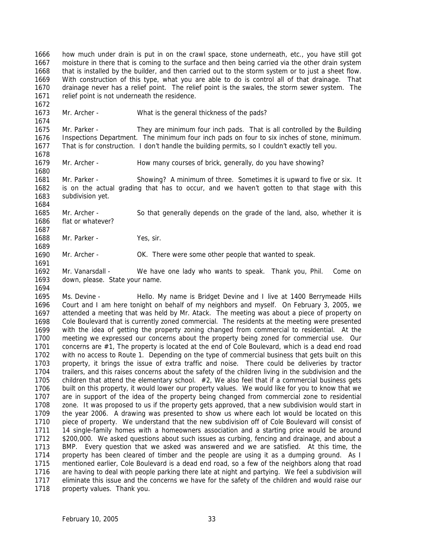1666 1667 1668 1669 1670 1671 how much under drain is put in on the crawl space, stone underneath, etc., you have still got moisture in there that is coming to the surface and then being carried via the other drain system that is installed by the builder, and then carried out to the storm system or to just a sheet flow. With construction of this type, what you are able to do is control all of that drainage. That drainage never has a relief point. The relief point is the swales, the storm sewer system. The relief point is not underneath the residence.

1673 Mr. Archer - What is the general thickness of the pads?

1675 1676 1677 Mr. Parker - They are minimum four inch pads. That is all controlled by the Building Inspections Department. The minimum four inch pads on four to six inches of stone, minimum. That is for construction. I don't handle the building permits, so I couldn't exactly tell you.

1679 Mr. Archer - How many courses of brick, generally, do you have showing?

1681 1682 1683 Mr. Parker - Showing? A minimum of three. Sometimes it is upward to five or six. It is on the actual grading that has to occur, and we haven't gotten to that stage with this subdivision yet.

1685 1686 Mr. Archer - So that generally depends on the grade of the land, also, whether it is flat or whatever?

1688 Mr. Parker - Yes, sir.

1672

1674

1678

1680

1684

1687

1689

1691

1690 Mr. Archer - OK. There were some other people that wanted to speak.

1692 1693 1694 Mr. Vanarsdall - We have one lady who wants to speak. Thank you, Phil. Come on down, please. State your name.

1695 1696 1697 1698 1699 1700 1701 1702 1703 1704 1705 1706 1707 1708 1709 1710 1711 1712 1713 1714 1715 1716 1717 1718 Ms. Devine - Thello. My name is Bridget Devine and I live at 1400 Berrymeade Hills Court and I am here tonight on behalf of my neighbors and myself. On February 3, 2005, we attended a meeting that was held by Mr. Atack. The meeting was about a piece of property on Cole Boulevard that is currently zoned commercial. The residents at the meeting were presented with the idea of getting the property zoning changed from commercial to residential. At the meeting we expressed our concerns about the property being zoned for commercial use. Our concerns are #1, The property is located at the end of Cole Boulevard, which is a dead end road with no access to Route 1. Depending on the type of commercial business that gets built on this property, it brings the issue of extra traffic and noise. There could be deliveries by tractor trailers, and this raises concerns about the safety of the children living in the subdivision and the children that attend the elementary school. #2, We also feel that if a commercial business gets built on this property, it would lower our property values. We would like for you to know that we are in support of the idea of the property being changed from commercial zone to residential zone. It was proposed to us if the property gets approved, that a new subdivision would start in the year 2006. A drawing was presented to show us where each lot would be located on this piece of property. We understand that the new subdivision off of Cole Boulevard will consist of 14 single-family homes with a homeowners association and a starting price would be around \$200,000. We asked questions about such issues as curbing, fencing and drainage, and about a BMP. Every question that we asked was answered and we are satisfied. At this time, the property has been cleared of timber and the people are using it as a dumping ground. As I mentioned earlier, Cole Boulevard is a dead end road, so a few of the neighbors along that road are having to deal with people parking there late at night and partying. We feel a subdivision will eliminate this issue and the concerns we have for the safety of the children and would raise our property values. Thank you.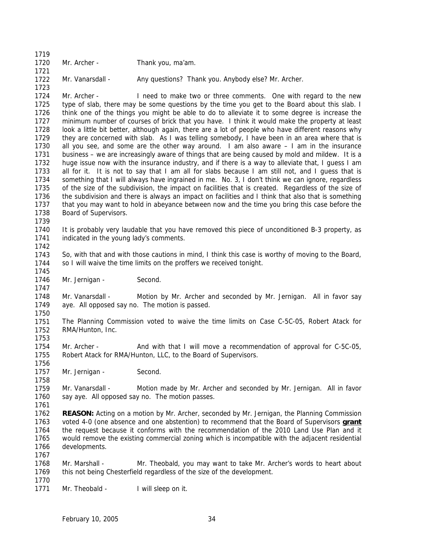1719 1720 1721 1722 Mr. Archer - Thank you, ma'am. Mr. Vanarsdall - Any questions? Thank you. Anybody else? Mr. Archer.

1724 1725 1726 1727 1728 1729 1730 1731 1732 1733 1734 1735 1736 1737 1738 Mr. Archer - I need to make two or three comments. One with regard to the new type of slab, there may be some questions by the time you get to the Board about this slab. I think one of the things you might be able to do to alleviate it to some degree is increase the minimum number of courses of brick that you have. I think it would make the property at least look a little bit better, although again, there are a lot of people who have different reasons why they are concerned with slab. As I was telling somebody, I have been in an area where that is all you see, and some are the other way around. I am also aware – I am in the insurance business – we are increasingly aware of things that are being caused by mold and mildew. It is a huge issue now with the insurance industry, and if there is a way to alleviate that, I guess I am all for it. It is not to say that I am all for slabs because I am still not, and I guess that is something that I will always have ingrained in me. No. 3, I don't think we can ignore, regardless of the size of the subdivision, the impact on facilities that is created. Regardless of the size of the subdivision and there is always an impact on facilities and I think that also that is something that you may want to hold in abeyance between now and the time you bring this case before the Board of Supervisors.

1740 1741 It is probably very laudable that you have removed this piece of unconditioned B-3 property, as indicated in the young lady's comments.

1743 1744 So, with that and with those cautions in mind, I think this case is worthy of moving to the Board, so I will waive the time limits on the proffers we received tonight.

1746 Mr. Jernigan - Second.

1748 1749 Mr. Vanarsdall - Motion by Mr. Archer and seconded by Mr. Jernigan. All in favor say aye. All opposed say no. The motion is passed.

1751 1752 The Planning Commission voted to waive the time limits on Case C-5C-05, Robert Atack for RMA/Hunton, Inc.

1754 1755 Mr. Archer - And with that I will move a recommendation of approval for C-5C-05, Robert Atack for RMA/Hunton, LLC, to the Board of Supervisors.

1757 Mr. Jernigan - Second.

1759 1760 Mr. Vanarsdall - Motion made by Mr. Archer and seconded by Mr. Jernigan. All in favor say aye. All opposed say no. The motion passes.

1761

1723

1739

1742

1745

1747

1750

1753

1756

1758

1762 **REASON:** Acting on a motion by Mr. Archer, seconded by Mr. Jernigan, the Planning Commission voted 4-0 (one absence and one abstention) to recommend that the Board of Supervisors **grant** the request because it conforms with the recommendation of the 2010 Land Use Plan and it would remove the existing commercial zoning which is incompatible with the adjacent residential developments. 1763 1764 1765 1766 1767

1768 1769 1770 Mr. Marshall - Mr. Theobald, you may want to take Mr. Archer's words to heart about this not being Chesterfield regardless of the size of the development.

1771 Mr. Theobald - I will sleep on it.